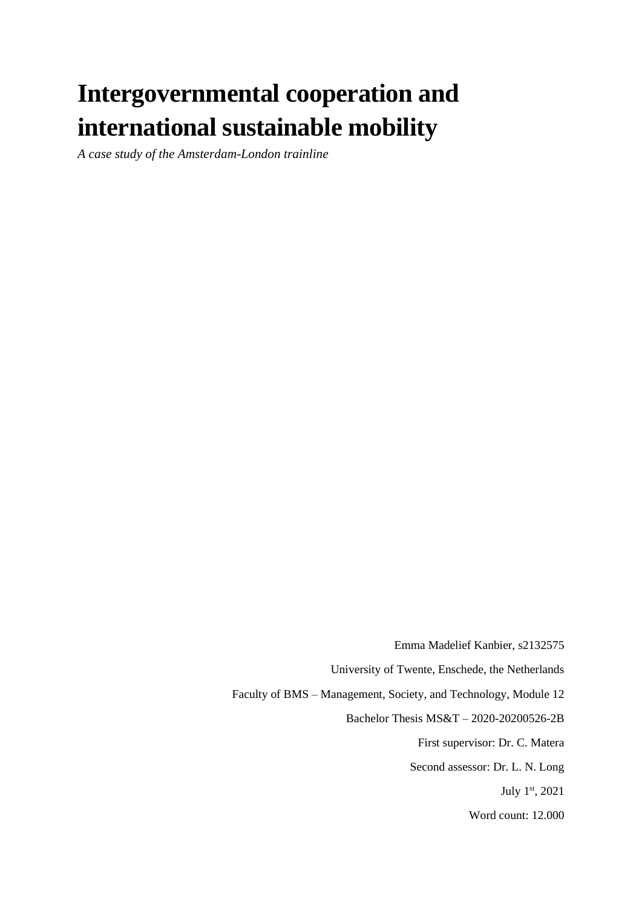# **Intergovernmental cooperation and international sustainable mobility**

*A case study of the Amsterdam-London trainline* 

Emma Madelief Kanbier, s2132575 University of Twente, Enschede, the Netherlands Faculty of BMS – Management, Society, and Technology, Module 12 Bachelor Thesis MS&T – 2020-20200526-2B First supervisor: Dr. C. Matera Second assessor: Dr. L. N. Long July 1st, 2021 Word count: 12.000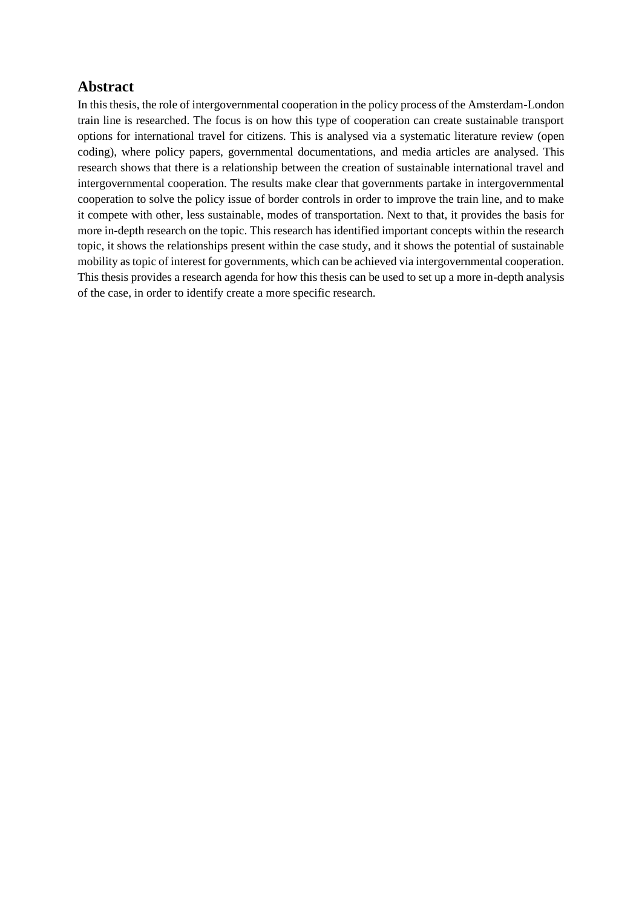#### **Abstract**

In this thesis, the role of intergovernmental cooperation in the policy process of the Amsterdam-London train line is researched. The focus is on how this type of cooperation can create sustainable transport options for international travel for citizens. This is analysed via a systematic literature review (open coding), where policy papers, governmental documentations, and media articles are analysed. This research shows that there is a relationship between the creation of sustainable international travel and intergovernmental cooperation. The results make clear that governments partake in intergovernmental cooperation to solve the policy issue of border controls in order to improve the train line, and to make it compete with other, less sustainable, modes of transportation. Next to that, it provides the basis for more in-depth research on the topic. This research has identified important concepts within the research topic, it shows the relationships present within the case study, and it shows the potential of sustainable mobility as topic of interest for governments, which can be achieved via intergovernmental cooperation. This thesis provides a research agenda for how this thesis can be used to set up a more in-depth analysis of the case, in order to identify create a more specific research.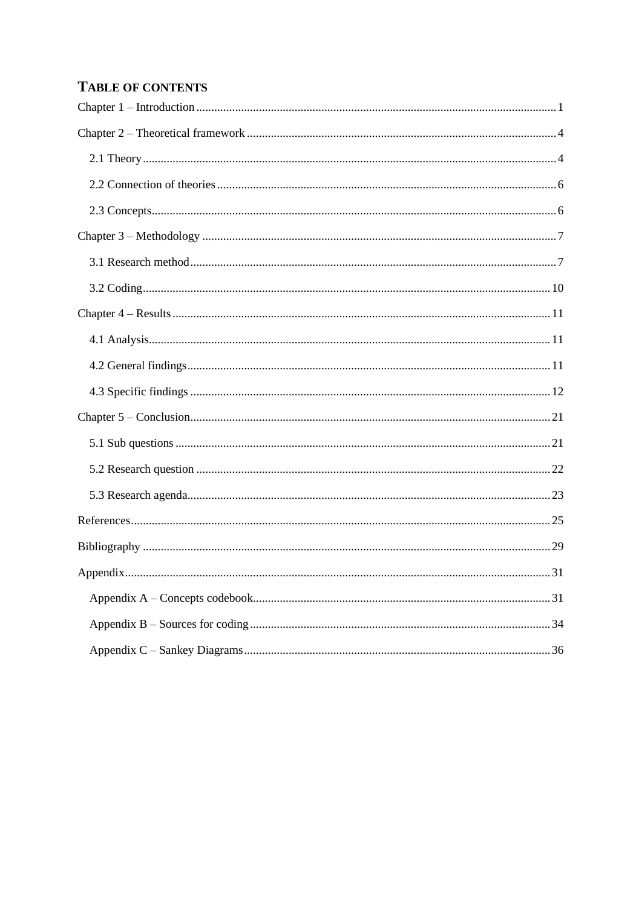## **TABLE OF CONTENTS**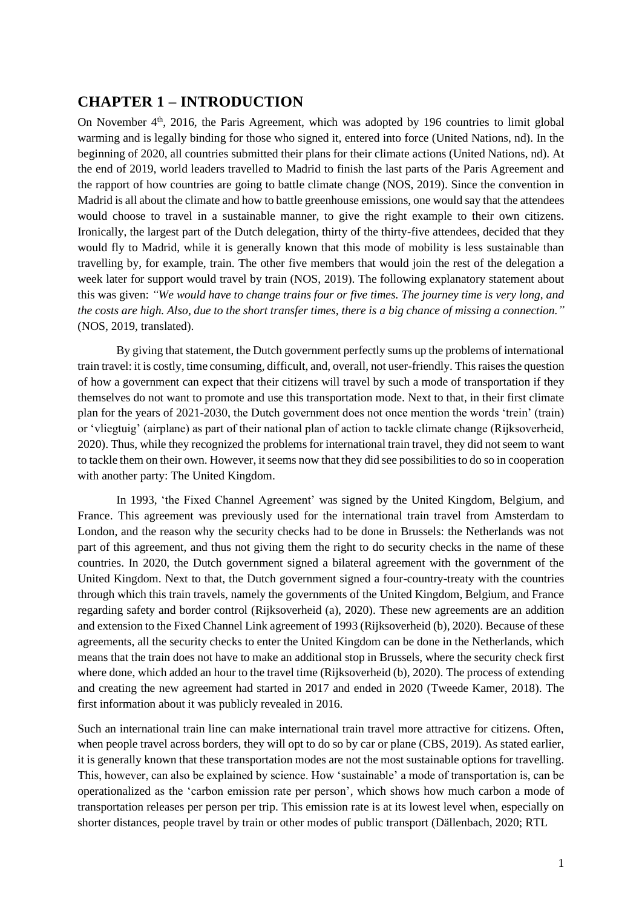## <span id="page-3-0"></span>**CHAPTER 1 – INTRODUCTION**

On November 4<sup>th</sup>, 2016, the Paris Agreement, which was adopted by 196 countries to limit global warming and is legally binding for those who signed it, entered into force (United Nations, nd). In the beginning of 2020, all countries submitted their plans for their climate actions (United Nations, nd). At the end of 2019, world leaders travelled to Madrid to finish the last parts of the Paris Agreement and the rapport of how countries are going to battle climate change (NOS, 2019). Since the convention in Madrid is all about the climate and how to battle greenhouse emissions, one would say that the attendees would choose to travel in a sustainable manner, to give the right example to their own citizens. Ironically, the largest part of the Dutch delegation, thirty of the thirty-five attendees, decided that they would fly to Madrid, while it is generally known that this mode of mobility is less sustainable than travelling by, for example, train. The other five members that would join the rest of the delegation a week later for support would travel by train (NOS, 2019). The following explanatory statement about this was given: *"We would have to change trains four or five times. The journey time is very long, and the costs are high. Also, due to the short transfer times, there is a big chance of missing a connection."* (NOS, 2019, translated).

By giving that statement, the Dutch government perfectly sums up the problems of international train travel: it is costly, time consuming, difficult, and, overall, not user-friendly. This raises the question of how a government can expect that their citizens will travel by such a mode of transportation if they themselves do not want to promote and use this transportation mode. Next to that, in their first climate plan for the years of 2021-2030, the Dutch government does not once mention the words 'trein' (train) or 'vliegtuig' (airplane) as part of their national plan of action to tackle climate change (Rijksoverheid, 2020). Thus, while they recognized the problems for international train travel, they did not seem to want to tackle them on their own. However, it seems now that they did see possibilities to do so in cooperation with another party: The United Kingdom.

In 1993, 'the Fixed Channel Agreement' was signed by the United Kingdom, Belgium, and France. This agreement was previously used for the international train travel from Amsterdam to London, and the reason why the security checks had to be done in Brussels: the Netherlands was not part of this agreement, and thus not giving them the right to do security checks in the name of these countries. In 2020, the Dutch government signed a bilateral agreement with the government of the United Kingdom. Next to that, the Dutch government signed a four-country-treaty with the countries through which this train travels, namely the governments of the United Kingdom, Belgium, and France regarding safety and border control (Rijksoverheid (a), 2020). These new agreements are an addition and extension to the Fixed Channel Link agreement of 1993 (Rijksoverheid (b), 2020). Because of these agreements, all the security checks to enter the United Kingdom can be done in the Netherlands, which means that the train does not have to make an additional stop in Brussels, where the security check first where done, which added an hour to the travel time (Rijksoverheid (b), 2020). The process of extending and creating the new agreement had started in 2017 and ended in 2020 (Tweede Kamer, 2018). The first information about it was publicly revealed in 2016.

Such an international train line can make international train travel more attractive for citizens. Often, when people travel across borders, they will opt to do so by car or plane (CBS, 2019). As stated earlier, it is generally known that these transportation modes are not the most sustainable options for travelling. This, however, can also be explained by science. How 'sustainable' a mode of transportation is, can be operationalized as the 'carbon emission rate per person', which shows how much carbon a mode of transportation releases per person per trip. This emission rate is at its lowest level when, especially on shorter distances, people travel by train or other modes of public transport (Dällenbach, 2020; RTL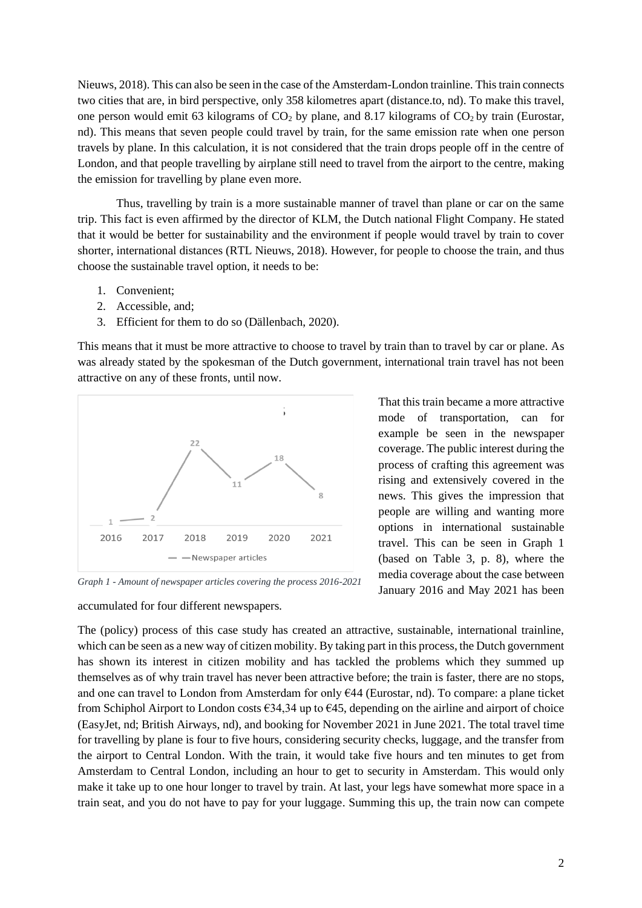Nieuws, 2018). This can also be seen in the case of the Amsterdam-London trainline. This train connects two cities that are, in bird perspective, only 358 kilometres apart (distance.to, nd). To make this travel, one person would emit 63 kilograms of  $CO<sub>2</sub>$  by plane, and 8.17 kilograms of  $CO<sub>2</sub>$  by train (Eurostar, nd). This means that seven people could travel by train, for the same emission rate when one person travels by plane. In this calculation, it is not considered that the train drops people off in the centre of London, and that people travelling by airplane still need to travel from the airport to the centre, making the emission for travelling by plane even more.

Thus, travelling by train is a more sustainable manner of travel than plane or car on the same trip. This fact is even affirmed by the director of KLM, the Dutch national Flight Company. He stated that it would be better for sustainability and the environment if people would travel by train to cover shorter, international distances (RTL Nieuws, 2018). However, for people to choose the train, and thus choose the sustainable travel option, it needs to be:

- 1. Convenient;
- 2. Accessible, and;
- 3. Efficient for them to do so (Dällenbach, 2020).

This means that it must be more attractive to choose to travel by train than to travel by car or plane. As was already stated by the spokesman of the Dutch government, international train travel has not been attractive on any of these fronts, until now.



*Graph 1 - Amount of newspaper articles covering the process 2016-2021*

accumulated for four different newspapers.

That this train became a more attractive mode of transportation, can for example be seen in the newspaper coverage. The public interest during the process of crafting this agreement was rising and extensively covered in the news. This gives the impression that people are willing and wanting more options in international sustainable travel. This can be seen in Graph 1 (based on Table 3, p. 8), where the media coverage about the case between January 2016 and May 2021 has been

The (policy) process of this case study has created an attractive, sustainable, international trainline, which can be seen as a new way of citizen mobility. By taking part in this process, the Dutch government has shown its interest in citizen mobility and has tackled the problems which they summed up themselves as of why train travel has never been attractive before; the train is faster, there are no stops, and one can travel to London from Amsterdam for only €44 (Eurostar, nd). To compare: a plane ticket from Schiphol Airport to London costs  $\epsilon$ 34,34 up to  $\epsilon$ 45, depending on the airline and airport of choice (EasyJet, nd; British Airways, nd), and booking for November 2021 in June 2021. The total travel time for travelling by plane is four to five hours, considering security checks, luggage, and the transfer from the airport to Central London. With the train, it would take five hours and ten minutes to get from Amsterdam to Central London, including an hour to get to security in Amsterdam. This would only make it take up to one hour longer to travel by train. At last, your legs have somewhat more space in a train seat, and you do not have to pay for your luggage. Summing this up, the train now can compete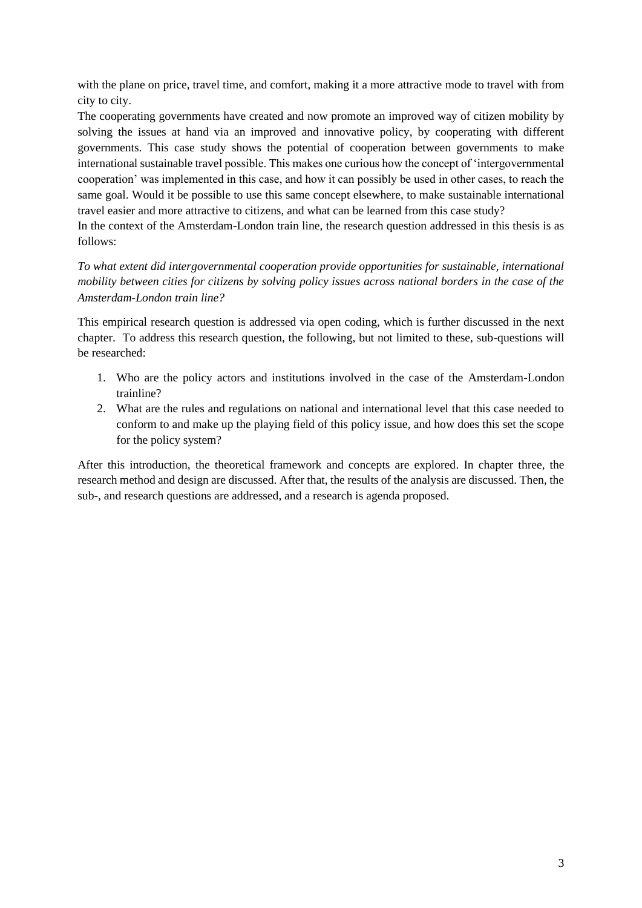with the plane on price, travel time, and comfort, making it a more attractive mode to travel with from city to city.

The cooperating governments have created and now promote an improved way of citizen mobility by solving the issues at hand via an improved and innovative policy, by cooperating with different governments. This case study shows the potential of cooperation between governments to make international sustainable travel possible. This makes one curious how the concept of 'intergovernmental cooperation' was implemented in this case, and how it can possibly be used in other cases, to reach the same goal. Would it be possible to use this same concept elsewhere, to make sustainable international travel easier and more attractive to citizens, and what can be learned from this case study?

In the context of the Amsterdam-London train line, the research question addressed in this thesis is as follows:

*To what extent did intergovernmental cooperation provide opportunities for sustainable, international mobility between cities for citizens by solving policy issues across national borders in the case of the Amsterdam-London train line?*

This empirical research question is addressed via open coding, which is further discussed in the next chapter. To address this research question, the following, but not limited to these, sub-questions will be researched:

- 1. Who are the policy actors and institutions involved in the case of the Amsterdam-London trainline?
- 2. What are the rules and regulations on national and international level that this case needed to conform to and make up the playing field of this policy issue, and how does this set the scope for the policy system?

After this introduction, the theoretical framework and concepts are explored. In chapter three, the research method and design are discussed. After that, the results of the analysis are discussed. Then, the sub-, and research questions are addressed, and a research is agenda proposed.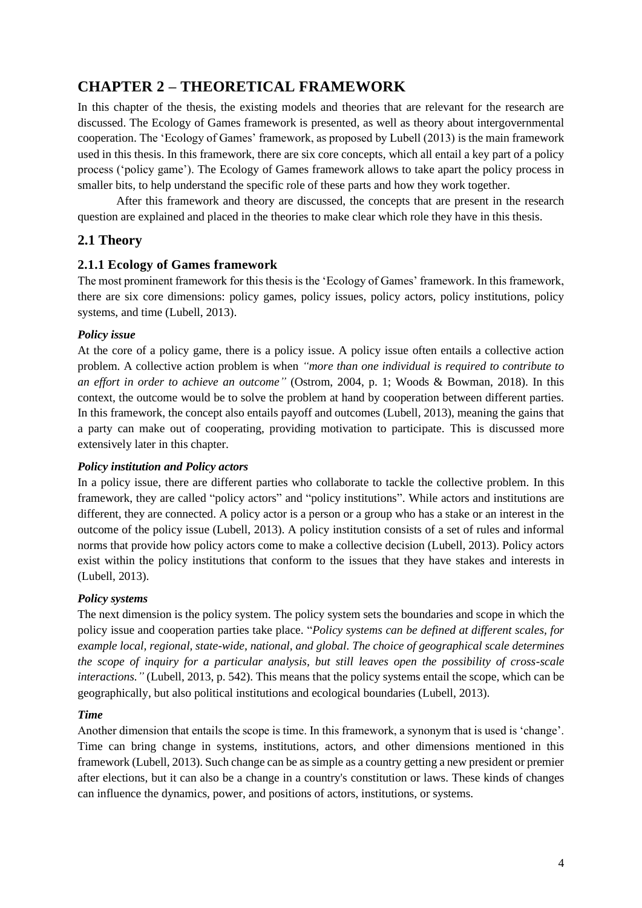## <span id="page-6-0"></span>**CHAPTER 2 – THEORETICAL FRAMEWORK**

In this chapter of the thesis, the existing models and theories that are relevant for the research are discussed. The Ecology of Games framework is presented, as well as theory about intergovernmental cooperation. The 'Ecology of Games' framework, as proposed by Lubell (2013) is the main framework used in this thesis. In this framework, there are six core concepts, which all entail a key part of a policy process ('policy game'). The Ecology of Games framework allows to take apart the policy process in smaller bits, to help understand the specific role of these parts and how they work together.

After this framework and theory are discussed, the concepts that are present in the research question are explained and placed in the theories to make clear which role they have in this thesis.

#### <span id="page-6-1"></span>**2.1 Theory**

#### **2.1.1 Ecology of Games framework**

The most prominent framework for this thesis is the 'Ecology of Games' framework. In this framework, there are six core dimensions: policy games, policy issues, policy actors, policy institutions, policy systems, and time (Lubell, 2013).

#### *Policy issue*

At the core of a policy game, there is a policy issue. A policy issue often entails a collective action problem. A collective action problem is when *"more than one individual is required to contribute to an effort in order to achieve an outcome"* (Ostrom, 2004, p. 1; Woods & Bowman, 2018). In this context, the outcome would be to solve the problem at hand by cooperation between different parties. In this framework, the concept also entails payoff and outcomes (Lubell, 2013), meaning the gains that a party can make out of cooperating, providing motivation to participate. This is discussed more extensively later in this chapter.

#### *Policy institution and Policy actors*

In a policy issue, there are different parties who collaborate to tackle the collective problem. In this framework, they are called "policy actors" and "policy institutions". While actors and institutions are different, they are connected. A policy actor is a person or a group who has a stake or an interest in the outcome of the policy issue (Lubell, 2013). A policy institution consists of a set of rules and informal norms that provide how policy actors come to make a collective decision (Lubell, 2013). Policy actors exist within the policy institutions that conform to the issues that they have stakes and interests in (Lubell, 2013).

#### *Policy systems*

The next dimension is the policy system. The policy system sets the boundaries and scope in which the policy issue and cooperation parties take place. "*Policy systems can be defined at different scales, for example local, regional, state-wide, national, and global. The choice of geographical scale determines the scope of inquiry for a particular analysis, but still leaves open the possibility of cross-scale interactions."* (Lubell, 2013, p. 542). This means that the policy systems entail the scope, which can be geographically, but also political institutions and ecological boundaries (Lubell, 2013).

#### *Time*

Another dimension that entails the scope is time. In this framework, a synonym that is used is 'change'. Time can bring change in systems, institutions, actors, and other dimensions mentioned in this framework (Lubell, 2013). Such change can be as simple as a country getting a new president or premier after elections, but it can also be a change in a country's constitution or laws. These kinds of changes can influence the dynamics, power, and positions of actors, institutions, or systems.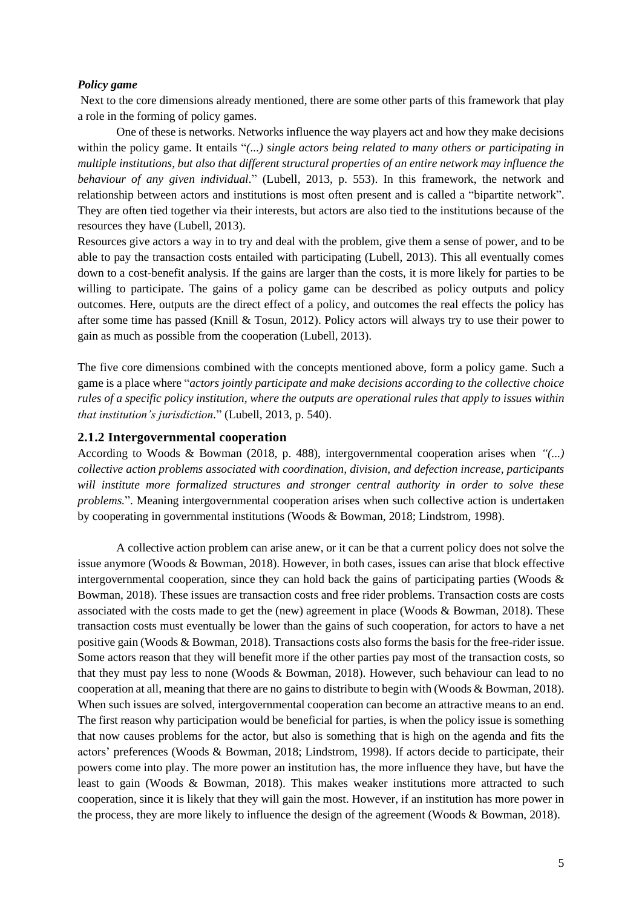#### *Policy game*

Next to the core dimensions already mentioned, there are some other parts of this framework that play a role in the forming of policy games.

One of these is networks. Networks influence the way players act and how they make decisions within the policy game. It entails "(...) *single actors being related to many others or participating in multiple institutions, but also that different structural properties of an entire network may influence the behaviour of any given individual.*" (Lubell, 2013, p. 553). In this framework, the network and relationship between actors and institutions is most often present and is called a "bipartite network". They are often tied together via their interests, but actors are also tied to the institutions because of the resources they have (Lubell, 2013).

Resources give actors a way in to try and deal with the problem, give them a sense of power, and to be able to pay the transaction costs entailed with participating (Lubell, 2013). This all eventually comes down to a cost-benefit analysis. If the gains are larger than the costs, it is more likely for parties to be willing to participate. The gains of a policy game can be described as policy outputs and policy outcomes. Here, outputs are the direct effect of a policy, and outcomes the real effects the policy has after some time has passed (Knill & Tosun, 2012). Policy actors will always try to use their power to gain as much as possible from the cooperation (Lubell, 2013).

The five core dimensions combined with the concepts mentioned above, form a policy game. Such a game is a place where "*actors jointly participate and make decisions according to the collective choice rules of a specific policy institution, where the outputs are operational rules that apply to issues within that institution's jurisdiction.*" (Lubell, 2013, p. 540).

#### **2.1.2 Intergovernmental cooperation**

According to Woods & Bowman (2018, p. 488), intergovernmental cooperation arises when *"(...) collective action problems associated with coordination, division, and defection increase, participants will institute more formalized structures and stronger central authority in order to solve these problems.*". Meaning intergovernmental cooperation arises when such collective action is undertaken by cooperating in governmental institutions (Woods & Bowman, 2018; Lindstrom, 1998).

A collective action problem can arise anew, or it can be that a current policy does not solve the issue anymore (Woods & Bowman, 2018). However, in both cases, issues can arise that block effective intergovernmental cooperation, since they can hold back the gains of participating parties (Woods  $\&$ Bowman, 2018). These issues are transaction costs and free rider problems. Transaction costs are costs associated with the costs made to get the (new) agreement in place (Woods & Bowman, 2018). These transaction costs must eventually be lower than the gains of such cooperation, for actors to have a net positive gain (Woods & Bowman, 2018). Transactions costs also forms the basis for the free-rider issue. Some actors reason that they will benefit more if the other parties pay most of the transaction costs, so that they must pay less to none (Woods & Bowman, 2018). However, such behaviour can lead to no cooperation at all, meaning that there are no gains to distribute to begin with (Woods & Bowman, 2018). When such issues are solved, intergovernmental cooperation can become an attractive means to an end. The first reason why participation would be beneficial for parties, is when the policy issue is something that now causes problems for the actor, but also is something that is high on the agenda and fits the actors' preferences (Woods & Bowman, 2018; Lindstrom, 1998). If actors decide to participate, their powers come into play. The more power an institution has, the more influence they have, but have the least to gain (Woods & Bowman, 2018). This makes weaker institutions more attracted to such cooperation, since it is likely that they will gain the most. However, if an institution has more power in the process, they are more likely to influence the design of the agreement (Woods & Bowman, 2018).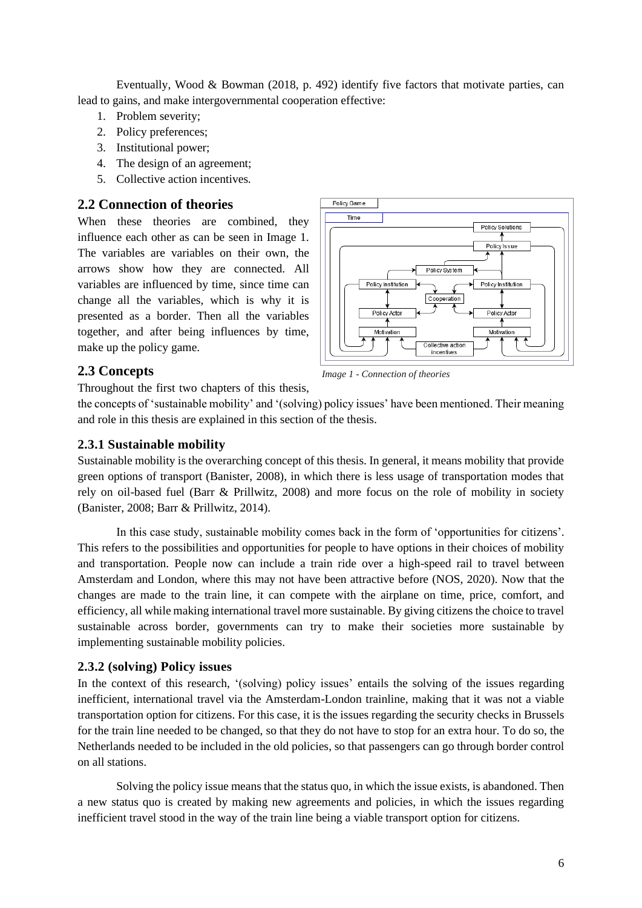Eventually, Wood & Bowman (2018, p. 492) identify five factors that motivate parties, can lead to gains, and make intergovernmental cooperation effective:

- 1. Problem severity;
- 2. Policy preferences;
- 3. Institutional power;
- 4. The design of an agreement;
- 5. Collective action incentives.

#### <span id="page-8-0"></span>**2.2 Connection of theories**

When these theories are combined, they influence each other as can be seen in Image 1. The variables are variables on their own, the arrows show how they are connected. All variables are influenced by time, since time can change all the variables, which is why it is presented as a border. Then all the variables together, and after being influences by time, make up the policy game.



#### <span id="page-8-1"></span>**2.3 Concepts**

Throughout the first two chapters of this thesis,

the concepts of 'sustainable mobility' and '(solving) policy issues' have been mentioned. Their meaning and role in this thesis are explained in this section of the thesis.

*Image 1 - Connection of theories*

#### **2.3.1 Sustainable mobility**

Sustainable mobility is the overarching concept of this thesis. In general, it means mobility that provide green options of transport (Banister, 2008), in which there is less usage of transportation modes that rely on oil-based fuel (Barr & Prillwitz, 2008) and more focus on the role of mobility in society (Banister, 2008; Barr & Prillwitz, 2014).

In this case study, sustainable mobility comes back in the form of 'opportunities for citizens'. This refers to the possibilities and opportunities for people to have options in their choices of mobility and transportation. People now can include a train ride over a high-speed rail to travel between Amsterdam and London, where this may not have been attractive before (NOS, 2020). Now that the changes are made to the train line, it can compete with the airplane on time, price, comfort, and efficiency, all while making international travel more sustainable. By giving citizens the choice to travel sustainable across border, governments can try to make their societies more sustainable by implementing sustainable mobility policies.

#### **2.3.2 (solving) Policy issues**

In the context of this research, '(solving) policy issues' entails the solving of the issues regarding inefficient, international travel via the Amsterdam-London trainline, making that it was not a viable transportation option for citizens. For this case, it is the issues regarding the security checks in Brussels for the train line needed to be changed, so that they do not have to stop for an extra hour. To do so, the Netherlands needed to be included in the old policies, so that passengers can go through border control on all stations.

Solving the policy issue means that the status quo, in which the issue exists, is abandoned. Then a new status quo is created by making new agreements and policies, in which the issues regarding inefficient travel stood in the way of the train line being a viable transport option for citizens.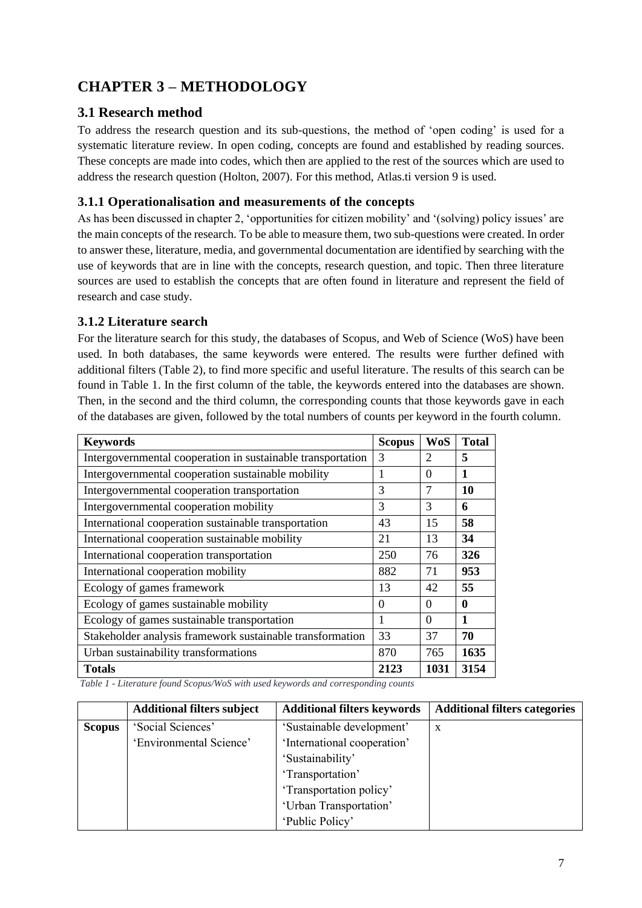## <span id="page-9-0"></span>**CHAPTER 3 – METHODOLOGY**

#### <span id="page-9-1"></span>**3.1 Research method**

To address the research question and its sub-questions, the method of 'open coding' is used for a systematic literature review. In open coding, concepts are found and established by reading sources. These concepts are made into codes, which then are applied to the rest of the sources which are used to address the research question (Holton, 2007). For this method, Atlas.ti version 9 is used.

#### **3.1.1 Operationalisation and measurements of the concepts**

As has been discussed in chapter 2, 'opportunities for citizen mobility' and '(solving) policy issues' are the main concepts of the research. To be able to measure them, two sub-questions were created. In order to answer these, literature, media, and governmental documentation are identified by searching with the use of keywords that are in line with the concepts, research question, and topic. Then three literature sources are used to establish the concepts that are often found in literature and represent the field of research and case study.

#### **3.1.2 Literature search**

For the literature search for this study, the databases of Scopus, and Web of Science (WoS) have been used. In both databases, the same keywords were entered. The results were further defined with additional filters (Table 2), to find more specific and useful literature. The results of this search can be found in Table 1. In the first column of the table, the keywords entered into the databases are shown. Then, in the second and the third column, the corresponding counts that those keywords gave in each of the databases are given, followed by the total numbers of counts per keyword in the fourth column.

| <b>Keywords</b>                                             | <b>Scopus</b> | <b>WoS</b>     | <b>Total</b> |
|-------------------------------------------------------------|---------------|----------------|--------------|
| Intergovernmental cooperation in sustainable transportation | 3             | 2              | 5            |
| Intergovernmental cooperation sustainable mobility          | 1             | $\Omega$       | 1            |
| Intergovernmental cooperation transportation                | 3             | $\overline{7}$ | 10           |
| Intergovernmental cooperation mobility                      | 3             | 3              | 6            |
| International cooperation sustainable transportation        | 43            | 15             | 58           |
| International cooperation sustainable mobility              | 21            | 13             | 34           |
| International cooperation transportation                    | 250           | 76             | 326          |
| International cooperation mobility                          | 882           | 71             | 953          |
| Ecology of games framework                                  | 13            | 42             | 55           |
| Ecology of games sustainable mobility                       | $\Omega$      | $\Omega$       | 0            |
| Ecology of games sustainable transportation                 | 1             | $\Omega$       | 1            |
| Stakeholder analysis framework sustainable transformation   | 33            | 37             | 70           |
| Urban sustainability transformations                        | 870           | 765            | 1635         |
| <b>Totals</b>                                               | 2123          | 1031           | 3154         |

*Table 1 - Literature found Scopus/WoS with used keywords and corresponding counts*

|               | <b>Additional filters subject</b> | <b>Additional filters keywords</b> | <b>Additional filters categories</b> |
|---------------|-----------------------------------|------------------------------------|--------------------------------------|
| <b>Scopus</b> | 'Social Sciences'                 | 'Sustainable development'          | X                                    |
|               | 'Environmental Science'           | 'International cooperation'        |                                      |
|               |                                   | 'Sustainability'                   |                                      |
|               |                                   | 'Transportation'                   |                                      |
|               |                                   | 'Transportation policy'            |                                      |
|               |                                   | 'Urban Transportation'             |                                      |
|               |                                   | 'Public Policy'                    |                                      |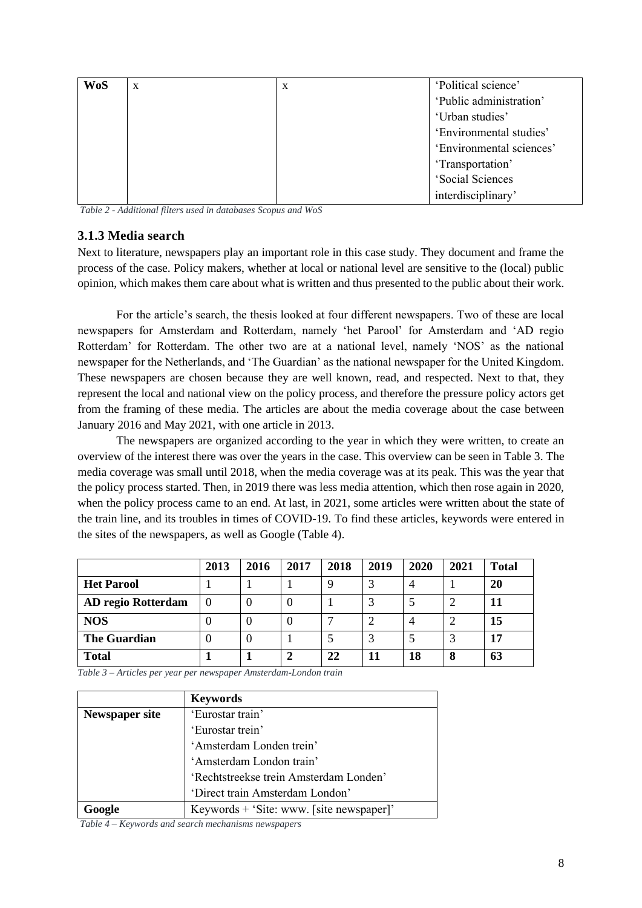| <b>WoS</b> | X | $\mathbf X$ | 'Political science'      |
|------------|---|-------------|--------------------------|
|            |   |             | 'Public administration'  |
|            |   |             | 'Urban studies'          |
|            |   |             | 'Environmental studies'  |
|            |   |             | 'Environmental sciences' |
|            |   |             | 'Transportation'         |
|            |   |             | 'Social Sciences         |
|            |   |             | interdisciplinary'       |

*Table 2 - Additional filters used in databases Scopus and WoS*

#### **3.1.3 Media search**

Next to literature, newspapers play an important role in this case study. They document and frame the process of the case. Policy makers, whether at local or national level are sensitive to the (local) public opinion, which makes them care about what is written and thus presented to the public about their work.

For the article's search, the thesis looked at four different newspapers. Two of these are local newspapers for Amsterdam and Rotterdam, namely 'het Parool' for Amsterdam and 'AD regio Rotterdam' for Rotterdam. The other two are at a national level, namely 'NOS' as the national newspaper for the Netherlands, and 'The Guardian' as the national newspaper for the United Kingdom. These newspapers are chosen because they are well known, read, and respected. Next to that, they represent the local and national view on the policy process, and therefore the pressure policy actors get from the framing of these media. The articles are about the media coverage about the case between January 2016 and May 2021, with one article in 2013.

The newspapers are organized according to the year in which they were written, to create an overview of the interest there was over the years in the case. This overview can be seen in Table 3. The media coverage was small until 2018, when the media coverage was at its peak. This was the year that the policy process started. Then, in 2019 there was less media attention, which then rose again in 2020, when the policy process came to an end. At last, in 2021, some articles were written about the state of the train line, and its troubles in times of COVID-19. To find these articles, keywords were entered in the sites of the newspapers, as well as Google (Table 4).

|                     | 2013     | 2016 | 2017 | 2018 | 2019 | 2020 | 2021 | <b>Total</b> |
|---------------------|----------|------|------|------|------|------|------|--------------|
| <b>Het Parool</b>   |          |      |      |      |      | 4    |      | 20           |
| AD regio Rotterdam  | $\Omega$ |      | U    |      |      |      |      | 11           |
| <b>NOS</b>          |          |      | U    |      |      | 4    |      | 15           |
| <b>The Guardian</b> |          |      |      |      |      |      |      |              |
| <b>Total</b>        |          |      |      | 22   | 11   | 18   | 8    | 63           |

*Table 3 – Articles per year per newspaper Amsterdam-London train*

|                       | <b>Keywords</b>                          |
|-----------------------|------------------------------------------|
| <b>Newspaper site</b> | 'Eurostar train'                         |
|                       | 'Eurostar trein'                         |
|                       | 'Amsterdam Londen trein'                 |
|                       | 'Amsterdam London train'                 |
|                       | 'Rechtstreekse trein Amsterdam Londen'   |
|                       | 'Direct train Amsterdam London'          |
| Google                | Keywords + 'Site: www. [site newspaper]' |

*Table 4 – Keywords and search mechanisms newspapers*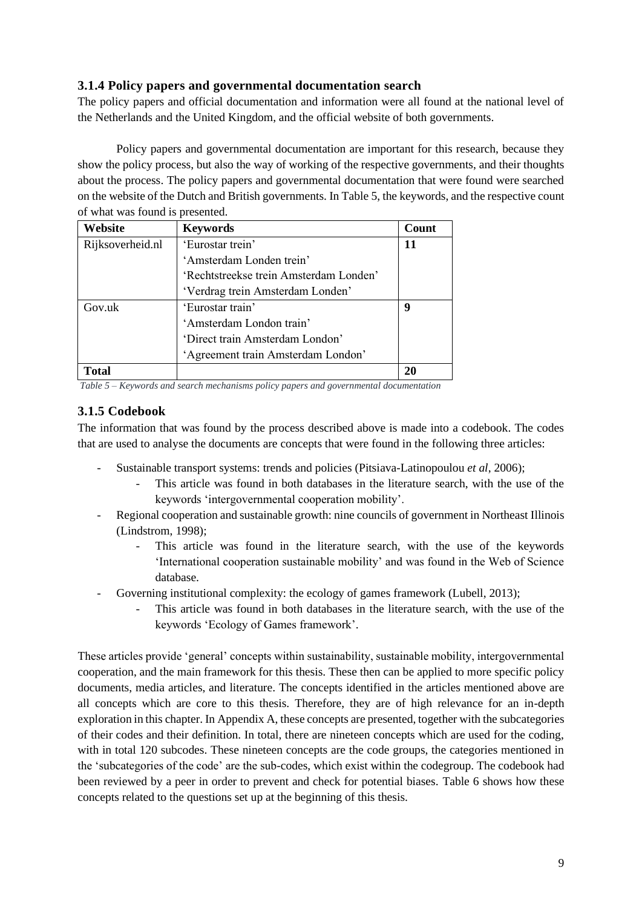#### **3.1.4 Policy papers and governmental documentation search**

The policy papers and official documentation and information were all found at the national level of the Netherlands and the United Kingdom, and the official website of both governments.

Policy papers and governmental documentation are important for this research, because they show the policy process, but also the way of working of the respective governments, and their thoughts about the process. The policy papers and governmental documentation that were found were searched on the website of the Dutch and British governments. In Table 5, the keywords, and the respective count of what was found is presented.

| Website          | <b>Keywords</b>                        | Count |
|------------------|----------------------------------------|-------|
| Rijksoverheid.nl | 'Eurostar trein'                       |       |
|                  | 'Amsterdam Londen trein'               |       |
|                  | 'Rechtstreekse trein Amsterdam Londen' |       |
|                  | 'Verdrag trein Amsterdam Londen'       |       |
| Gov.uk           | 'Eurostar train'                       | 9     |
|                  | 'Amsterdam London train'               |       |
|                  | 'Direct train Amsterdam London'        |       |
|                  | 'Agreement train Amsterdam London'     |       |
| lotal]           |                                        | 20    |

*Table 5 – Keywords and search mechanisms policy papers and governmental documentation*

#### **3.1.5 Codebook**

The information that was found by the process described above is made into a codebook. The codes that are used to analyse the documents are concepts that were found in the following three articles:

- Sustainable transport systems: trends and policies (Pitsiava-Latinopoulou *et al*, 2006);
	- This article was found in both databases in the literature search, with the use of the keywords 'intergovernmental cooperation mobility'.
- Regional cooperation and sustainable growth: nine councils of government in Northeast Illinois (Lindstrom, 1998);
	- This article was found in the literature search, with the use of the keywords 'International cooperation sustainable mobility' and was found in the Web of Science database.
- Governing institutional complexity: the ecology of games framework (Lubell, 2013);
	- This article was found in both databases in the literature search, with the use of the keywords 'Ecology of Games framework'.

These articles provide 'general' concepts within sustainability, sustainable mobility, intergovernmental cooperation, and the main framework for this thesis. These then can be applied to more specific policy documents, media articles, and literature. The concepts identified in the articles mentioned above are all concepts which are core to this thesis. Therefore, they are of high relevance for an in-depth exploration in this chapter. In Appendix A, these concepts are presented, together with the subcategories of their codes and their definition. In total, there are nineteen concepts which are used for the coding, with in total 120 subcodes. These nineteen concepts are the code groups, the categories mentioned in the 'subcategories of the code' are the sub-codes, which exist within the codegroup. The codebook had been reviewed by a peer in order to prevent and check for potential biases. Table 6 shows how these concepts related to the questions set up at the beginning of this thesis.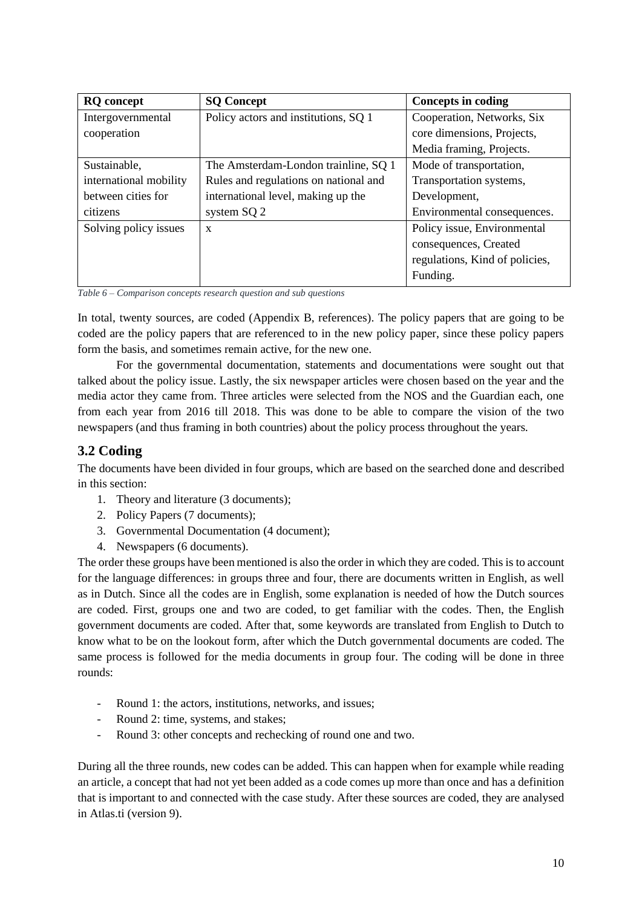| <b>RQ</b> concept      | <b>SQ Concept</b>                     | <b>Concepts in coding</b>      |
|------------------------|---------------------------------------|--------------------------------|
| Intergovernmental      | Policy actors and institutions, SQ 1  | Cooperation, Networks, Six     |
| cooperation            |                                       | core dimensions, Projects,     |
|                        |                                       | Media framing, Projects.       |
| Sustainable,           | The Amsterdam-London trainline, SQ 1  | Mode of transportation,        |
| international mobility | Rules and regulations on national and | Transportation systems,        |
| between cities for     | international level, making up the    | Development,                   |
| citizens               | system SQ 2                           | Environmental consequences.    |
| Solving policy issues  | X                                     | Policy issue, Environmental    |
|                        |                                       | consequences, Created          |
|                        |                                       | regulations, Kind of policies, |
|                        |                                       | Funding.                       |

*Table 6 – Comparison concepts research question and sub questions*

In total, twenty sources, are coded (Appendix B, references). The policy papers that are going to be coded are the policy papers that are referenced to in the new policy paper, since these policy papers form the basis, and sometimes remain active, for the new one.

For the governmental documentation, statements and documentations were sought out that talked about the policy issue. Lastly, the six newspaper articles were chosen based on the year and the media actor they came from. Three articles were selected from the NOS and the Guardian each, one from each year from 2016 till 2018. This was done to be able to compare the vision of the two newspapers (and thus framing in both countries) about the policy process throughout the years.

### <span id="page-12-0"></span>**3.2 Coding**

The documents have been divided in four groups, which are based on the searched done and described in this section:

- 1. Theory and literature (3 documents);
- 2. Policy Papers (7 documents);
- 3. Governmental Documentation (4 document);
- 4. Newspapers (6 documents).

The order these groups have been mentioned is also the order in which they are coded. This is to account for the language differences: in groups three and four, there are documents written in English, as well as in Dutch. Since all the codes are in English, some explanation is needed of how the Dutch sources are coded. First, groups one and two are coded, to get familiar with the codes. Then, the English government documents are coded. After that, some keywords are translated from English to Dutch to know what to be on the lookout form, after which the Dutch governmental documents are coded. The same process is followed for the media documents in group four. The coding will be done in three rounds:

- Round 1: the actors, institutions, networks, and issues;
- Round 2: time, systems, and stakes;
- Round 3: other concepts and rechecking of round one and two.

During all the three rounds, new codes can be added. This can happen when for example while reading an article, a concept that had not yet been added as a code comes up more than once and has a definition that is important to and connected with the case study. After these sources are coded, they are analysed in Atlas.ti (version 9).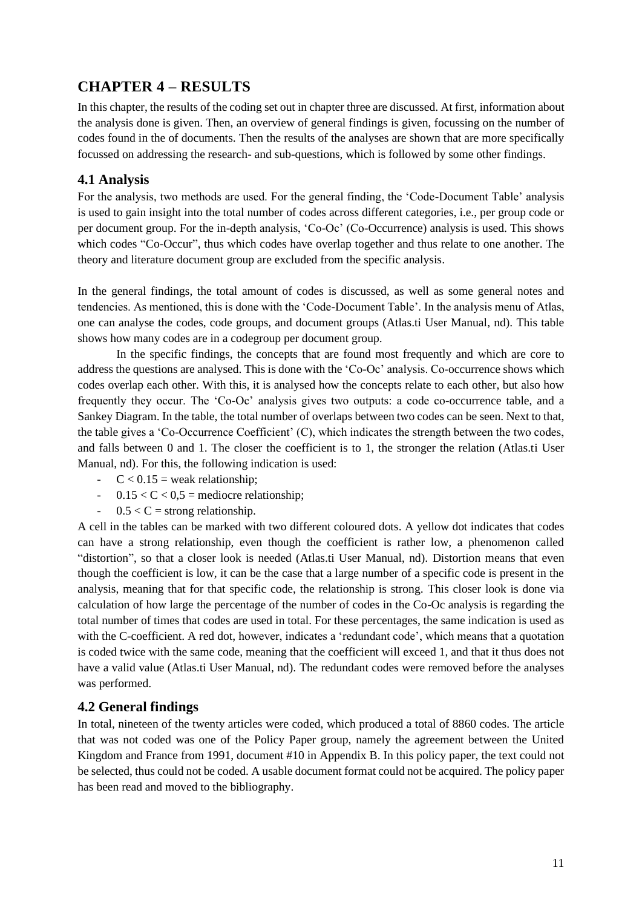## <span id="page-13-0"></span>**CHAPTER 4 – RESULTS**

In this chapter, the results of the coding set out in chapter three are discussed. At first, information about the analysis done is given. Then, an overview of general findings is given, focussing on the number of codes found in the of documents. Then the results of the analyses are shown that are more specifically focussed on addressing the research- and sub-questions, which is followed by some other findings.

#### <span id="page-13-1"></span>**4.1 Analysis**

For the analysis, two methods are used. For the general finding, the 'Code-Document Table' analysis is used to gain insight into the total number of codes across different categories, i.e., per group code or per document group. For the in-depth analysis, 'Co-Oc' (Co-Occurrence) analysis is used. This shows which codes "Co-Occur", thus which codes have overlap together and thus relate to one another. The theory and literature document group are excluded from the specific analysis.

In the general findings, the total amount of codes is discussed, as well as some general notes and tendencies. As mentioned, this is done with the 'Code-Document Table'. In the analysis menu of Atlas, one can analyse the codes, code groups, and document groups (Atlas.ti User Manual, nd). This table shows how many codes are in a codegroup per document group.

In the specific findings, the concepts that are found most frequently and which are core to address the questions are analysed. This is done with the 'Co-Oc' analysis. Co-occurrence shows which codes overlap each other. With this, it is analysed how the concepts relate to each other, but also how frequently they occur. The 'Co-Oc' analysis gives two outputs: a code co-occurrence table, and a Sankey Diagram. In the table, the total number of overlaps between two codes can be seen. Next to that, the table gives a 'Co-Occurrence Coefficient' (C), which indicates the strength between the two codes, and falls between 0 and 1. The closer the coefficient is to 1, the stronger the relation (Atlas.ti User Manual, nd). For this, the following indication is used:

- $-C < 0.15$  = weak relationship;
- $-$  0.15  $<$  C  $<$  0.5 = mediocre relationship;
- $-$  0.5  $<$  C = strong relationship.

A cell in the tables can be marked with two different coloured dots. A yellow dot indicates that codes can have a strong relationship, even though the coefficient is rather low, a phenomenon called "distortion", so that a closer look is needed (Atlas.ti User Manual, nd). Distortion means that even though the coefficient is low, it can be the case that a large number of a specific code is present in the analysis, meaning that for that specific code, the relationship is strong. This closer look is done via calculation of how large the percentage of the number of codes in the Co-Oc analysis is regarding the total number of times that codes are used in total. For these percentages, the same indication is used as with the C-coefficient. A red dot, however, indicates a 'redundant code', which means that a quotation is coded twice with the same code, meaning that the coefficient will exceed 1, and that it thus does not have a valid value (Atlas.ti User Manual, nd). The redundant codes were removed before the analyses was performed.

#### <span id="page-13-2"></span>**4.2 General findings**

In total, nineteen of the twenty articles were coded, which produced a total of 8860 codes. The article that was not coded was one of the Policy Paper group, namely the agreement between the United Kingdom and France from 1991, document #10 in Appendix B. In this policy paper, the text could not be selected, thus could not be coded. A usable document format could not be acquired. The policy paper has been read and moved to the bibliography.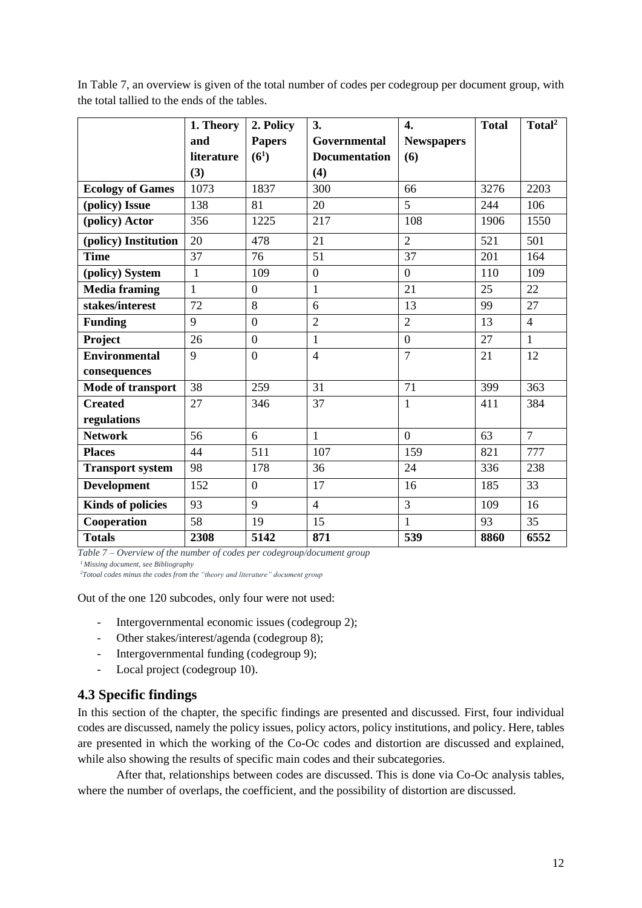|                          | 1. Theory    | 2. Policy         | 3.                   | 4.                | <b>Total</b> | Total <sup>2</sup> |
|--------------------------|--------------|-------------------|----------------------|-------------------|--------------|--------------------|
|                          | and          | <b>Papers</b>     | Governmental         | <b>Newspapers</b> |              |                    |
|                          | literature   | (6 <sup>1</sup> ) | <b>Documentation</b> | (6)               |              |                    |
|                          | (3)          |                   | (4)                  |                   |              |                    |
| <b>Ecology of Games</b>  | 1073         | 1837              | 300                  | 66                | 3276         | 2203               |
| (policy) Issue           | 138          | 81                | 20                   | 5                 | 244          | 106                |
| (policy) Actor           | 356          | 1225              | 217                  | 108               | 1906         | 1550               |
| (policy) Institution     | 20           | 478               | 21                   | $\overline{2}$    | 521          | 501                |
| <b>Time</b>              | 37           | 76                | 51                   | 37                | 201          | 164                |
| (policy) System          | 1            | 109               | $\boldsymbol{0}$     | $\overline{0}$    | 110          | 109                |
| <b>Media framing</b>     | $\mathbf{1}$ | $\overline{0}$    | 1                    | 21                | 25           | 22                 |
| stakes/interest          | 72           | 8                 | 6                    | 13                | 99           | 27                 |
| <b>Funding</b>           | 9            | $\overline{0}$    | $\overline{2}$       | $\overline{2}$    | 13           | $\overline{4}$     |
| Project                  | 26           | $\overline{0}$    | $\mathbf{1}$         | $\boldsymbol{0}$  | 27           | $\mathbf{1}$       |
| <b>Environmental</b>     | 9            | $\overline{0}$    | $\overline{4}$       | $\overline{7}$    | 21           | 12                 |
| consequences             |              |                   |                      |                   |              |                    |
| Mode of transport        | 38           | 259               | 31                   | 71                | 399          | 363                |
| <b>Created</b>           | 27           | 346               | 37                   | $\mathbf{1}$      | 411          | 384                |
| regulations              |              |                   |                      |                   |              |                    |
| <b>Network</b>           | 56           | 6                 | $\mathbf{1}$         | $\overline{0}$    | 63           | $\overline{7}$     |
| <b>Places</b>            | 44           | 511               | 107                  | 159               | 821          | 777                |
| <b>Transport system</b>  | 98           | 178               | 36                   | 24                | 336          | 238                |
| <b>Development</b>       | 152          | $\overline{0}$    | 17                   | 16                | 185          | 33                 |
| <b>Kinds of policies</b> | 93           | 9                 | $\overline{4}$       | 3                 | 109          | 16                 |
| Cooperation              | 58           | 19                | 15                   | $\mathbf{1}$      | 93           | 35                 |
| <b>Totals</b>            | 2308         | 5142              | 871                  | 539               | 8860         | 6552               |

In Table 7, an overview is given of the total number of codes per codegroup per document group, with the total tallied to the ends of the tables.

*Table 7 – Overview of the number of codes per codegroup/document group <sup>1</sup>Missing document, see Bibliography*

*<sup>2</sup>Totoal codes minus the codes from the "theory and literature" document group*

Out of the one 120 subcodes, only four were not used:

- Intergovernmental economic issues (codegroup 2);
- Other stakes/interest/agenda (codegroup 8);
- Intergovernmental funding (codegroup 9);
- Local project (codegroup 10).

#### <span id="page-14-0"></span>**4.3 Specific findings**

In this section of the chapter, the specific findings are presented and discussed. First, four individual codes are discussed, namely the policy issues, policy actors, policy institutions, and policy. Here, tables are presented in which the working of the Co-Oc codes and distortion are discussed and explained, while also showing the results of specific main codes and their subcategories.

After that, relationships between codes are discussed. This is done via Co-Oc analysis tables, where the number of overlaps, the coefficient, and the possibility of distortion are discussed.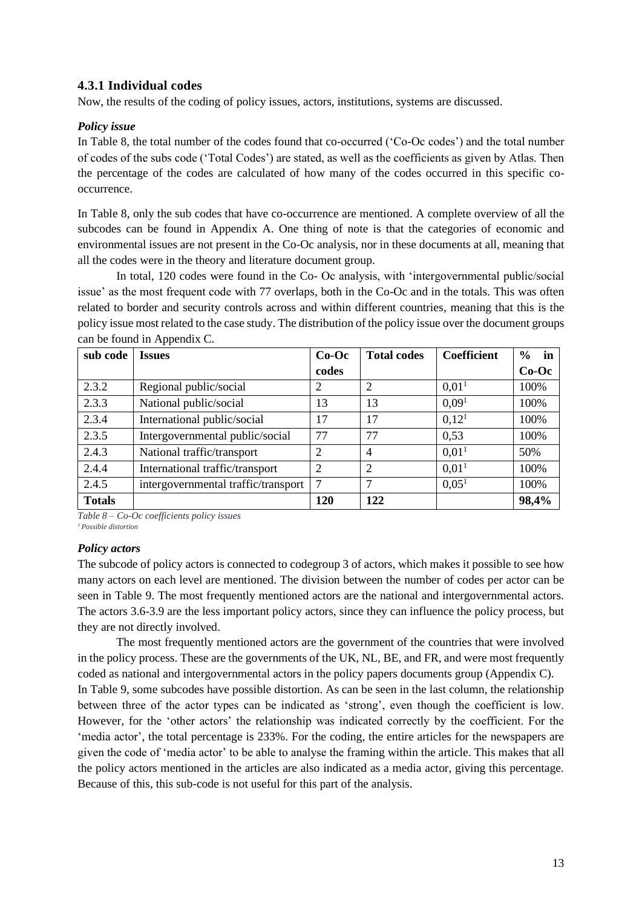#### **4.3.1 Individual codes**

Now, the results of the coding of policy issues, actors, institutions, systems are discussed.

#### *Policy issue*

In Table 8, the total number of the codes found that co-occurred ('Co-Oc codes') and the total number of codes of the subs code ('Total Codes') are stated, as well as the coefficients as given by Atlas. Then the percentage of the codes are calculated of how many of the codes occurred in this specific cooccurrence.

In Table 8, only the sub codes that have co-occurrence are mentioned. A complete overview of all the subcodes can be found in Appendix A. One thing of note is that the categories of economic and environmental issues are not present in the Co-Oc analysis, nor in these documents at all, meaning that all the codes were in the theory and literature document group.

In total, 120 codes were found in the Co- Oc analysis, with 'intergovernmental public/social issue' as the most frequent code with 77 overlaps, both in the Co-Oc and in the totals. This was often related to border and security controls across and within different countries, meaning that this is the policy issue most related to the case study. The distribution of the policy issue over the document groups can be found in Appendix C.

| sub code      | <b>Issues</b>                       | $Co-Oc$ | <b>Total codes</b> | <b>Coefficient</b> | in<br>$\%$ |
|---------------|-------------------------------------|---------|--------------------|--------------------|------------|
|               |                                     | codes   |                    |                    | $Co-Oc$    |
| 2.3.2         | Regional public/social              | 2       | $\overline{2}$     | 0.01 <sup>1</sup>  | 100%       |
| 2.3.3         | National public/social              | 13      | 13                 | 0.09 <sup>1</sup>  | 100%       |
| 2.3.4         | International public/social         | 17      | 17                 | 0.12 <sup>1</sup>  | 100%       |
| 2.3.5         | Intergovernmental public/social     | 77      | 77                 | 0,53               | 100%       |
| 2.4.3         | National traffic/transport          | 2       | $\overline{4}$     | 0.01 <sup>1</sup>  | 50%        |
| 2.4.4         | International traffic/transport     | 2       | $\overline{2}$     | 0.01 <sup>1</sup>  | 100%       |
| 2.4.5         | intergovernmental traffic/transport | 7       | 7                  | 0.05 <sup>1</sup>  | 100%       |
| <b>Totals</b> |                                     | 120     | 122                |                    | 98,4%      |

*Table 8 – Co-Oc coefficients policy issues <sup>1</sup>Possible distortion*

#### *Policy actors*

The subcode of policy actors is connected to codegroup 3 of actors, which makes it possible to see how many actors on each level are mentioned. The division between the number of codes per actor can be seen in Table 9. The most frequently mentioned actors are the national and intergovernmental actors. The actors 3.6-3.9 are the less important policy actors, since they can influence the policy process, but they are not directly involved.

The most frequently mentioned actors are the government of the countries that were involved in the policy process. These are the governments of the UK, NL, BE, and FR, and were most frequently coded as national and intergovernmental actors in the policy papers documents group (Appendix C). In Table 9, some subcodes have possible distortion. As can be seen in the last column, the relationship between three of the actor types can be indicated as 'strong', even though the coefficient is low. However, for the 'other actors' the relationship was indicated correctly by the coefficient. For the 'media actor', the total percentage is 233%. For the coding, the entire articles for the newspapers are given the code of 'media actor' to be able to analyse the framing within the article. This makes that all the policy actors mentioned in the articles are also indicated as a media actor, giving this percentage. Because of this, this sub-code is not useful for this part of the analysis.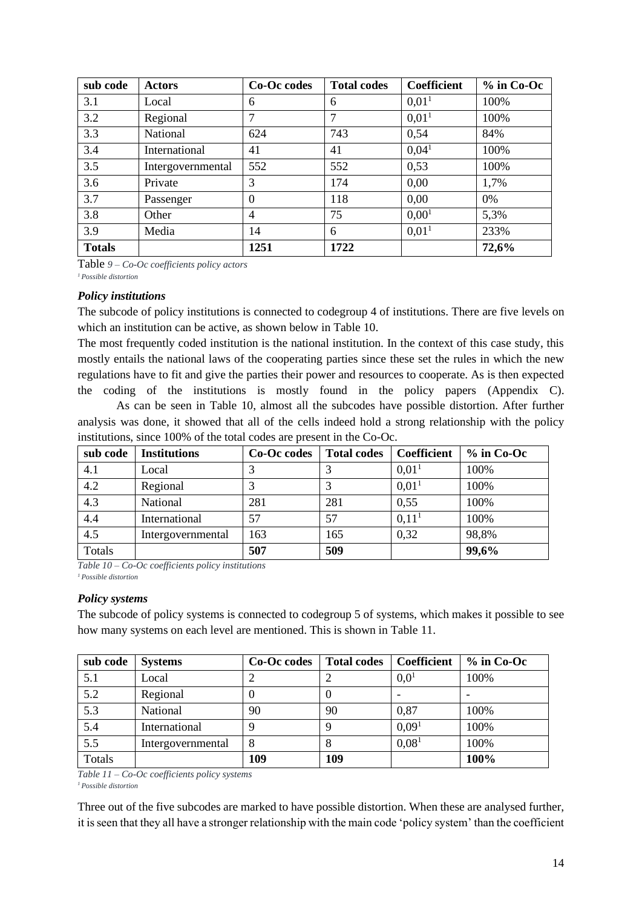| sub code      | <b>Actors</b>     | Co-Oc codes | <b>Total codes</b> | <b>Coefficient</b> | $%$ in Co-Oc |
|---------------|-------------------|-------------|--------------------|--------------------|--------------|
| 3.1           | Local             | 6           | 6                  | 0.01 <sup>1</sup>  | 100%         |
| 3.2           | Regional          |             | 7                  | 0.01 <sup>1</sup>  | 100%         |
| 3.3           | National          | 624         | 743                | 0,54               | 84%          |
| 3.4           | International     | 41          | 41                 | 0.04 <sup>1</sup>  | 100%         |
| 3.5           | Intergovernmental | 552         | 552                | 0,53               | 100%         |
| 3.6           | Private           | 3           | 174                | 0,00               | 1,7%         |
| 3.7           | Passenger         | $\Omega$    | 118                | 0.00               | $0\%$        |
| 3.8           | Other             | 4           | 75                 | 0,00 <sup>1</sup>  | 5,3%         |
| 3.9           | Media             | 14          | 6                  | 0.01 <sup>1</sup>  | 233%         |
| <b>Totals</b> |                   | 1251        | 1722               |                    | 72,6%        |

Table *9 – Co-Oc coefficients policy actors*

*<sup>1</sup>Possible distortion*

#### *Policy institutions*

The subcode of policy institutions is connected to codegroup 4 of institutions. There are five levels on which an institution can be active, as shown below in Table 10.

The most frequently coded institution is the national institution. In the context of this case study, this mostly entails the national laws of the cooperating parties since these set the rules in which the new regulations have to fit and give the parties their power and resources to cooperate. As is then expected the coding of the institutions is mostly found in the policy papers (Appendix C).

As can be seen in Table 10, almost all the subcodes have possible distortion. After further analysis was done, it showed that all of the cells indeed hold a strong relationship with the policy institutions, since 100% of the total codes are present in the Co-Oc.

| sub code | <b>Institutions</b> | Co-Oc codes | <b>Total codes</b> | Coefficient       | $%$ in Co-Oc |
|----------|---------------------|-------------|--------------------|-------------------|--------------|
| 4.1      | Local               |             |                    | 0.01 <sup>1</sup> | 100%         |
| 4.2      | Regional            |             |                    | 0.01 <sup>1</sup> | 100%         |
| 4.3      | National            | 281         | 281                | 0,55              | 100%         |
| 4.4      | International       | 57          | 57                 | 0.11 <sup>1</sup> | 100%         |
| 4.5      | Intergovernmental   | 163         | 165                | 0,32              | 98,8%        |
| Totals   |                     | 507         | 509                |                   | 99,6%        |

*Table 10 – Co-Oc coefficients policy institutions <sup>1</sup>Possible distortion*

#### *Policy systems*

The subcode of policy systems is connected to codegroup 5 of systems, which makes it possible to see how many systems on each level are mentioned. This is shown in Table 11.

| sub code         | <b>Systems</b>    | Co-Oc codes | <b>Total codes</b> | <b>Coefficient</b> | $%$ in Co-Oc |
|------------------|-------------------|-------------|--------------------|--------------------|--------------|
| 5.1              | Local             |             |                    | $0.0^{1}$          | 100%         |
| 5.2              | Regional          |             |                    |                    |              |
| $\overline{5.3}$ | National          | 90          | 90                 | 0,87               | 100%         |
| 5.4              | International     | Q           | 9                  | 0.09 <sup>1</sup>  | 100%         |
| 5.5              | Intergovernmental | 8           |                    | 0.08 <sup>1</sup>  | 100%         |
| Totals           |                   | 109         | 109                |                    | 100%         |

*Table 11 – Co-Oc coefficients policy systems <sup>1</sup>Possible distortion*

Three out of the five subcodes are marked to have possible distortion. When these are analysed further, it is seen that they all have a stronger relationship with the main code 'policy system' than the coefficient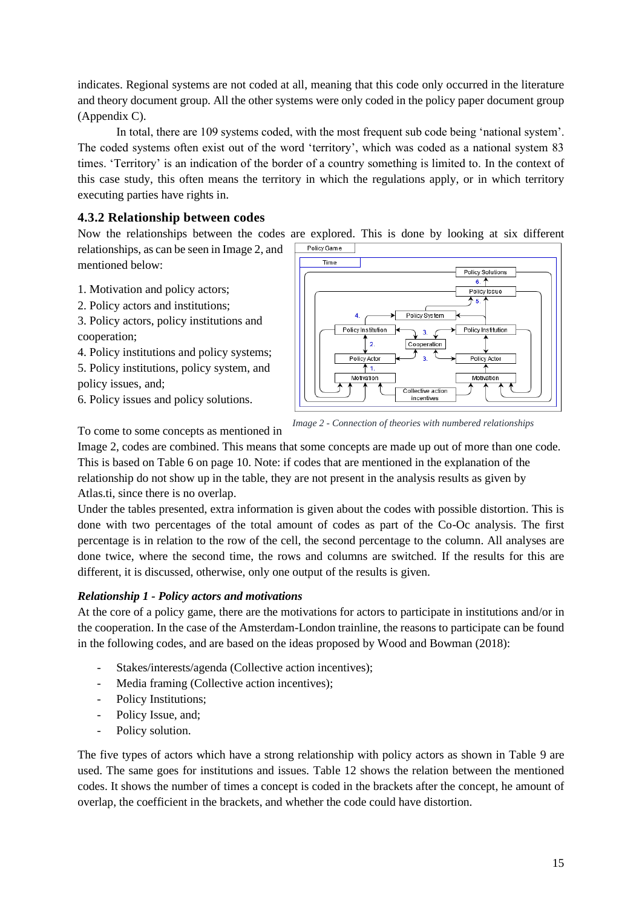indicates. Regional systems are not coded at all, meaning that this code only occurred in the literature and theory document group. All the other systems were only coded in the policy paper document group (Appendix C).

In total, there are 109 systems coded, with the most frequent sub code being 'national system'. The coded systems often exist out of the word 'territory', which was coded as a national system 83 times. 'Territory' is an indication of the border of a country something is limited to. In the context of this case study, this often means the territory in which the regulations apply, or in which territory executing parties have rights in.

#### **4.3.2 Relationship between codes**

Now the relationships between the codes are explored. This is done by looking at six different Policy Game

relationships, as can be seen in Image 2, and mentioned below:

- 1. Motivation and policy actors;
- 2. Policy actors and institutions;
- 3. Policy actors, policy institutions and cooperation;
- 4. Policy institutions and policy systems;
- 5. Policy institutions, policy system, and policy issues, and;
- 6. Policy issues and policy solutions.



To come to some concepts as mentioned in

*Image 2 - Connection of theories with numbered relationships*

Image 2, codes are combined. This means that some concepts are made up out of more than one code. This is based on Table 6 on page 10. Note: if codes that are mentioned in the explanation of the relationship do not show up in the table, they are not present in the analysis results as given by Atlas.ti, since there is no overlap.

Under the tables presented, extra information is given about the codes with possible distortion. This is done with two percentages of the total amount of codes as part of the Co-Oc analysis. The first percentage is in relation to the row of the cell, the second percentage to the column. All analyses are done twice, where the second time, the rows and columns are switched. If the results for this are different, it is discussed, otherwise, only one output of the results is given.

#### *Relationship 1 - Policy actors and motivations*

At the core of a policy game, there are the motivations for actors to participate in institutions and/or in the cooperation. In the case of the Amsterdam-London trainline, the reasons to participate can be found in the following codes, and are based on the ideas proposed by Wood and Bowman (2018):

- Stakes/interests/agenda (Collective action incentives);
- Media framing (Collective action incentives);
- Policy Institutions;
- Policy Issue, and;
- Policy solution.

The five types of actors which have a strong relationship with policy actors as shown in Table 9 are used. The same goes for institutions and issues. Table 12 shows the relation between the mentioned codes. It shows the number of times a concept is coded in the brackets after the concept, he amount of overlap, the coefficient in the brackets, and whether the code could have distortion.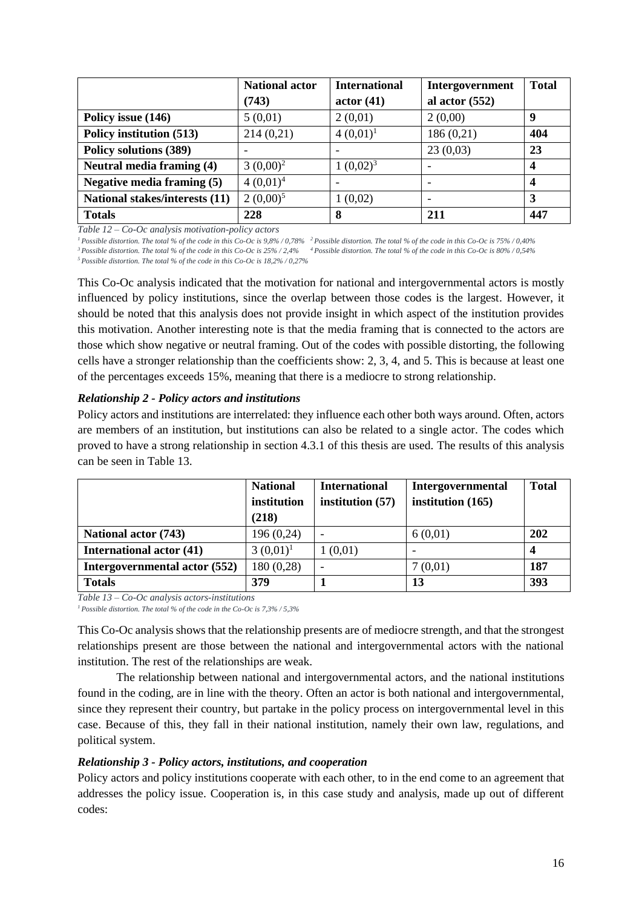|                                | <b>National actor</b> | <b>International</b> | Intergovernment  | <b>Total</b> |
|--------------------------------|-----------------------|----------------------|------------------|--------------|
|                                | (743)                 | actor(41)            | al actor $(552)$ |              |
| Policy issue (146)             | 5(0,01)               | 2(0,01)              | 2(0,00)          | 9            |
| Policy institution (513)       | 214(0,21)             | $4(0,01)^1$          | 186(0,21)        | 404          |
| Policy solutions (389)         | ۰                     |                      | 23(0,03)         | 23           |
| Neutral media framing (4)      | $3(0,00)^2$           | $1(0,02)^3$          |                  |              |
| Negative media framing (5)     | $4(0,01)^4$           |                      |                  |              |
| National stakes/interests (11) | $2(0,00)^5$           | 1(0,02)              |                  | 3            |
| <b>Totals</b>                  | 228                   | 8                    | 211              | 447          |

*Table 12 – Co-Oc analysis motivation-policy actors* 

*<sup>1</sup>Possible distortion. The total % of the code in this Co-Oc is 9,8% / 0,78% <sup>2</sup>Possible distortion. The total % of the code in this Co-Oc is 75% / 0,40% <sup>3</sup>Possible distortion. The total % of the code in this Co-Oc is 25% / 2,4% <sup>4</sup>Possible distortion. The total % of the code in this Co-Oc is 80% / 0,54%*

*<sup>5</sup>Possible distortion. The total % of the code in this Co-Oc is 18,2% / 0,27%*

This Co-Oc analysis indicated that the motivation for national and intergovernmental actors is mostly influenced by policy institutions, since the overlap between those codes is the largest. However, it should be noted that this analysis does not provide insight in which aspect of the institution provides this motivation. Another interesting note is that the media framing that is connected to the actors are those which show negative or neutral framing. Out of the codes with possible distorting, the following cells have a stronger relationship than the coefficients show: 2, 3, 4, and 5. This is because at least one of the percentages exceeds 15%, meaning that there is a mediocre to strong relationship.

#### *Relationship 2 - Policy actors and institutions*

Policy actors and institutions are interrelated: they influence each other both ways around. Often, actors are members of an institution, but institutions can also be related to a single actor. The codes which proved to have a strong relationship in section 4.3.1 of this thesis are used. The results of this analysis can be seen in Table 13.

|                                 | <b>National</b> | <b>International</b> | Intergovernmental   | <b>Total</b> |
|---------------------------------|-----------------|----------------------|---------------------|--------------|
|                                 | institution     | institution $(57)$   | institution $(165)$ |              |
|                                 | (218)           |                      |                     |              |
| <b>National actor (743)</b>     | 196(0,24)       |                      | 6(0,01)             | 202          |
| <b>International actor (41)</b> | $3(0,01)^1$     | 1(0,01)              |                     |              |
| Intergovernmental actor (552)   | 180(0,28)       |                      | 7(0,01)             | 187          |
| <b>Totals</b>                   | 379             |                      | 13                  | 393          |

*Table 13 – Co-Oc analysis actors-institutions* 

*<sup>1</sup>Possible distortion. The total % of the code in the Co-Oc is 7,3% / 5,3%*

This Co-Oc analysis shows that the relationship presents are of mediocre strength, and that the strongest relationships present are those between the national and intergovernmental actors with the national institution. The rest of the relationships are weak.

The relationship between national and intergovernmental actors, and the national institutions found in the coding, are in line with the theory. Often an actor is both national and intergovernmental, since they represent their country, but partake in the policy process on intergovernmental level in this case. Because of this, they fall in their national institution, namely their own law, regulations, and political system.

#### *Relationship 3 - Policy actors, institutions, and cooperation*

Policy actors and policy institutions cooperate with each other, to in the end come to an agreement that addresses the policy issue. Cooperation is, in this case study and analysis, made up out of different codes: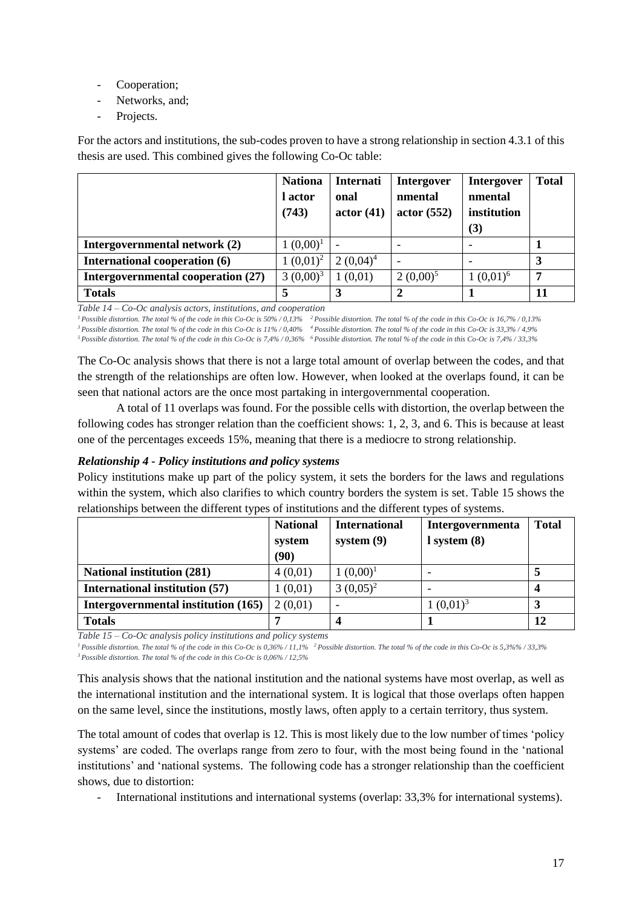- Cooperation;
- Networks, and;
- Projects.

For the actors and institutions, the sub-codes proven to have a strong relationship in section 4.3.1 of this thesis are used. This combined gives the following Co-Oc table:

|                                    | <b>Nationa</b><br>l actor<br>(743) | Internati<br>onal<br>actor(41) | <b>Intergover</b><br>nmental<br>actor(552) | <b>Intergover</b><br>nmental<br>institution<br>(3) | <b>Total</b> |
|------------------------------------|------------------------------------|--------------------------------|--------------------------------------------|----------------------------------------------------|--------------|
| Intergovernmental network (2)      | $1(0,00)^1$                        |                                | $\overline{\phantom{0}}$                   |                                                    |              |
| International cooperation (6)      | $1(0,01)^2$                        | $2(0,04)^4$                    | $\overline{\phantom{0}}$                   |                                                    | 3            |
| Intergovernmental cooperation (27) | $3(0,00)^3$                        | (0,01)                         | $2(0,00)^5$                                | $1(0,01)^6$                                        | 7            |
| <b>Totals</b>                      | 5                                  | 3                              | $\mathbf{2}$                               |                                                    | 11           |

*Table 14 – Co-Oc analysis actors, institutions, and cooperation* 

*<sup>1</sup>Possible distortion. The total % of the code in this Co-Oc is 50% / 0,13% <sup>2</sup>Possible distortion. The total % of the code in this Co-Oc is 16,7% / 0,13% <sup>3</sup>Possible distortion. The total % of the code in this Co-Oc is 11% / 0,40% <sup>4</sup>Possible distortion. The total % of the code in this Co-Oc is 33,3% / 4,9% <sup>5</sup>Possible distortion. The total % of the code in this Co-Oc is 7,4% / 0,36% <sup>6</sup>Possible distortion. The total % of the code in this Co-Oc is 7,4% / 33,3%*

The Co-Oc analysis shows that there is not a large total amount of overlap between the codes, and that the strength of the relationships are often low. However, when looked at the overlaps found, it can be seen that national actors are the once most partaking in intergovernmental cooperation.

A total of 11 overlaps was found. For the possible cells with distortion, the overlap between the following codes has stronger relation than the coefficient shows: 1, 2, 3, and 6. This is because at least one of the percentages exceeds 15%, meaning that there is a mediocre to strong relationship.

#### *Relationship 4 - Policy institutions and policy systems*

Policy institutions make up part of the policy system, it sets the borders for the laws and regulations within the system, which also clarifies to which country borders the system is set. Table 15 shows the relationships between the different types of institutions and the different types of systems.

|                                       | <b>National</b><br>system<br>(90) | <b>International</b><br>system $(9)$ | <b>Intergovernmenta</b><br>$l$ system $(8)$ | <b>Total</b> |
|---------------------------------------|-----------------------------------|--------------------------------------|---------------------------------------------|--------------|
| <b>National institution (281)</b>     | 4(0,01)                           | $1(0,00)^1$                          |                                             |              |
| <b>International institution (57)</b> | 1(0,01)                           | $3(0,05)^2$                          |                                             |              |
| Intergovernmental institution (165)   | 2(0,01)                           |                                      | $1(0,01)^3$                                 |              |
| <b>Totals</b>                         |                                   |                                      |                                             | 12           |

*Table 15 – Co-Oc analysis policy institutions and policy systems* 

*<sup>1</sup>Possible distortion. The total % of the code in this Co-Oc is 0,36% / 11,1% <sup>2</sup>Possible distortion. The total % of the code in this Co-Oc is 5,3%% / 33,3% <sup>3</sup>Possible distortion. The total % of the code in this Co-Oc is 0,06% / 12,5%*

This analysis shows that the national institution and the national systems have most overlap, as well as the international institution and the international system. It is logical that those overlaps often happen on the same level, since the institutions, mostly laws, often apply to a certain territory, thus system.

The total amount of codes that overlap is 12. This is most likely due to the low number of times 'policy systems' are coded. The overlaps range from zero to four, with the most being found in the 'national institutions' and 'national systems. The following code has a stronger relationship than the coefficient shows, due to distortion:

- International institutions and international systems (overlap: 33,3% for international systems).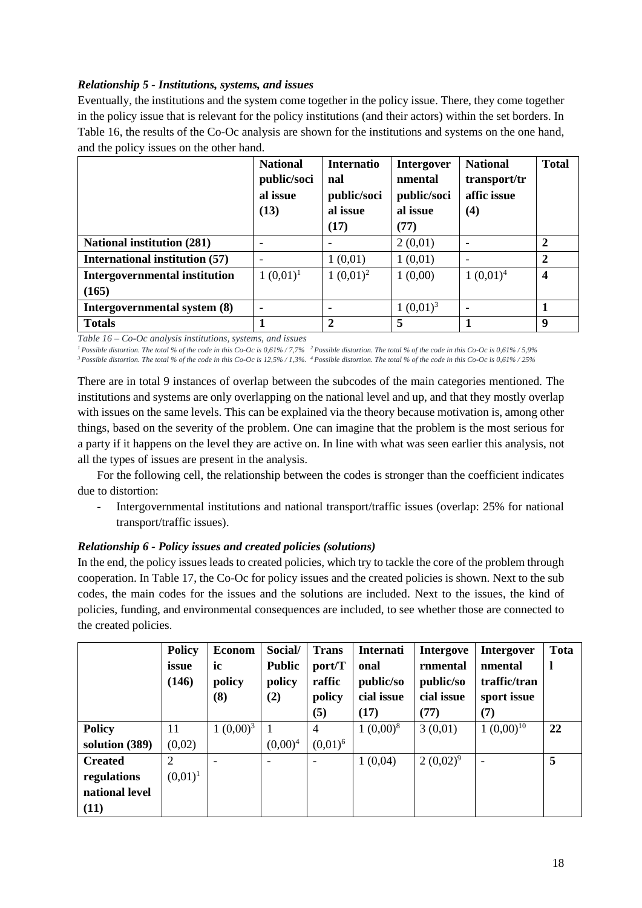#### *Relationship 5 - Institutions, systems, and issues*

Eventually, the institutions and the system come together in the policy issue. There, they come together in the policy issue that is relevant for the policy institutions (and their actors) within the set borders. In Table 16, the results of the Co-Oc analysis are shown for the institutions and systems on the one hand, and the policy issues on the other hand.

|                                       | <b>National</b><br>public/soci<br>al issue<br>(13) | <b>Internatio</b><br>nal<br>public/soci<br>al issue<br>(17) | <b>Intergover</b><br>nmental<br>public/soci<br>al issue<br>(77) | <b>National</b><br>transport/tr<br>affic issue<br>(4) | <b>Total</b>            |
|---------------------------------------|----------------------------------------------------|-------------------------------------------------------------|-----------------------------------------------------------------|-------------------------------------------------------|-------------------------|
| <b>National institution (281)</b>     |                                                    |                                                             | 2(0,01)                                                         |                                                       | 2                       |
| <b>International institution (57)</b> |                                                    | 1(0,01)                                                     | 1(0,01)                                                         |                                                       | $\overline{2}$          |
| <b>Intergovernmental institution</b>  | $1(0,01)^1$                                        | $1(0,01)^2$                                                 | 1(0,00)                                                         | $1(0,01)^4$                                           | $\overline{\mathbf{4}}$ |
| (165)                                 |                                                    |                                                             |                                                                 |                                                       |                         |
| Intergovernmental system (8)          |                                                    |                                                             | $1(0,01)^3$                                                     |                                                       |                         |
| <b>Totals</b>                         |                                                    | $\overline{2}$                                              | 5                                                               |                                                       | 9                       |

*Table 16 – Co-Oc analysis institutions, systems, and issues*

*<sup>1</sup>Possible distortion. The total % of the code in this Co-Oc is 0,61% / 7,7% <sup>2</sup>Possible distortion. The total % of the code in this Co-Oc is 0,61% / 5,9% <sup>3</sup>Possible distortion. The total % of the code in this Co-Oc is 12,5% / 1,3%. <sup>4</sup>Possible distortion. The total % of the code in this Co-Oc is 0,61% / 25%*

There are in total 9 instances of overlap between the subcodes of the main categories mentioned. The institutions and systems are only overlapping on the national level and up, and that they mostly overlap with issues on the same levels. This can be explained via the theory because motivation is, among other things, based on the severity of the problem. One can imagine that the problem is the most serious for a party if it happens on the level they are active on. In line with what was seen earlier this analysis, not all the types of issues are present in the analysis.

For the following cell, the relationship between the codes is stronger than the coefficient indicates due to distortion:

- Intergovernmental institutions and national transport/traffic issues (overlap: 25% for national transport/traffic issues).

#### *Relationship 6 - Policy issues and created policies (solutions)*

In the end, the policy issues leads to created policies, which try to tackle the core of the problem through cooperation. In Table 17, the Co-Oc for policy issues and the created policies is shown. Next to the sub codes, the main codes for the issues and the solutions are included. Next to the issues, the kind of policies, funding, and environmental consequences are included, to see whether those are connected to the created policies.

|                | <b>Policy</b> | <b>Econom</b>            | Social/       | <b>Trans</b> | Internati   | <b>Intergove</b> | <b>Intergover</b> | Tota         |
|----------------|---------------|--------------------------|---------------|--------------|-------------|------------------|-------------------|--------------|
|                | issue         | ic                       | <b>Public</b> | port/T       | onal        | rnmental         | nmental           | $\mathbf{l}$ |
|                | (146)         | policy                   | policy        | raffic       | public/so   | public/so        | traffic/tran      |              |
|                |               | (8)                      | (2)           | policy       | cial issue  | cial issue       | sport issue       |              |
|                |               |                          |               | (5)          | (17)        | (77)             | (7)               |              |
| <b>Policy</b>  | 11            | $1(0,00)^3$              |               | 4            | $1(0,00)^8$ | 3(0,01)          | $1(0,00)^{10}$    | 22           |
| solution (389) | (0,02)        |                          | $(0,00)^4$    | $(0.01)^6$   |             |                  |                   |              |
| <b>Created</b> | 2             | $\overline{\phantom{0}}$ | -             |              | 1(0,04)     | $2(0,02)^9$      |                   | 5            |
| regulations    | $(0,01)^1$    |                          |               |              |             |                  |                   |              |
| national level |               |                          |               |              |             |                  |                   |              |
| (11)           |               |                          |               |              |             |                  |                   |              |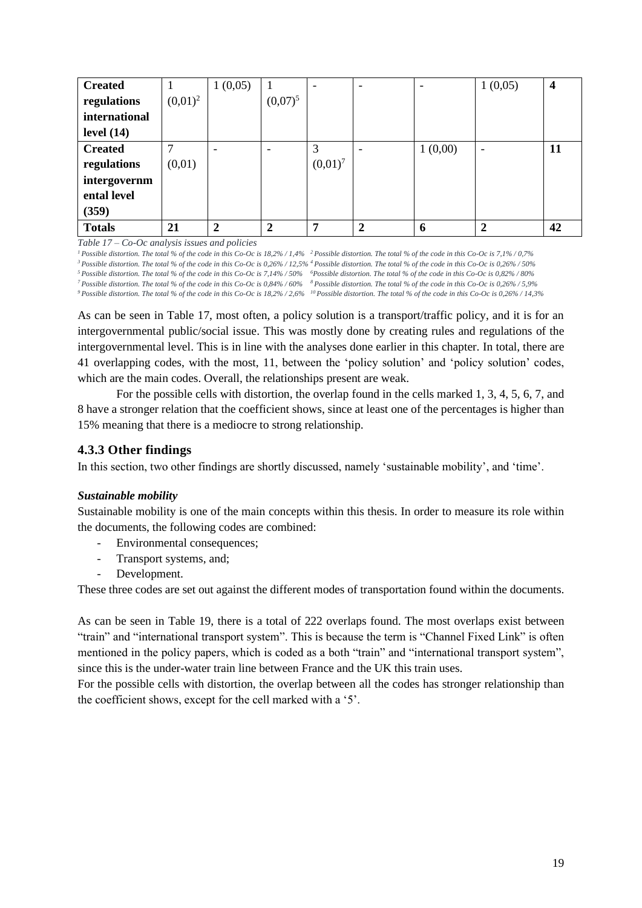| <b>Created</b> |            | 1(0,05)                  |                          |            | $\qquad \qquad$ |         | 1(0,05)                  | $\overline{4}$ |
|----------------|------------|--------------------------|--------------------------|------------|-----------------|---------|--------------------------|----------------|
| regulations    | $(0,01)^2$ |                          | $(0,07)^5$               |            |                 |         |                          |                |
| international  |            |                          |                          |            |                 |         |                          |                |
| level $(14)$   |            |                          |                          |            |                 |         |                          |                |
| <b>Created</b> |            | $\overline{\phantom{a}}$ | $\overline{\phantom{a}}$ | 3          |                 | 1(0,00) | $\overline{\phantom{0}}$ | 11             |
| regulations    | (0,01)     |                          |                          | $(0,01)^7$ |                 |         |                          |                |
| intergovernm   |            |                          |                          |            |                 |         |                          |                |
| ental level    |            |                          |                          |            |                 |         |                          |                |
| (359)          |            |                          |                          |            |                 |         |                          |                |
| <b>Totals</b>  | 21         | $\overline{2}$           | $\overline{2}$           | 7          | $\overline{2}$  | 6       | $\overline{2}$           | 42             |

*Table 17 – Co-Oc analysis issues and policies*

*Possible distortion. The total % of the code in this Co-Oc is 18,2% / 1,4% <sup>2</sup>Possible distortion. The total % of the code in this Co-Oc is 7,1% / 0,7% Possible distortion. The total % of the code in this Co-Oc is 0,26% / 12,5% <sup>4</sup>Possible distortion. The total % of the code in this Co-Oc is 0,26% / 50% Possible distortion. The total % of the code in this Co-Oc is 7,14% / 50% <sup>6</sup>Possible distortion. The total % of the code in this Co-Oc is 0,82% / 80% Possible distortion. The total % of the code in this Co-Oc is 0,84% / 60% <sup>8</sup>Possible distortion. The total % of the code in this Co-Oc is 0,26% / 5,9% Possible distortion. The total % of the code in this Co-Oc is 18,2% / 2,6% <sup>10</sup>Possible distortion. The total % of the code in this Co-Oc is 0,26% / 14,3%*

As can be seen in Table 17, most often, a policy solution is a transport/traffic policy, and it is for an intergovernmental public/social issue. This was mostly done by creating rules and regulations of the intergovernmental level. This is in line with the analyses done earlier in this chapter. In total, there are 41 overlapping codes, with the most, 11, between the 'policy solution' and 'policy solution' codes, which are the main codes. Overall, the relationships present are weak.

For the possible cells with distortion, the overlap found in the cells marked 1, 3, 4, 5, 6, 7, and 8 have a stronger relation that the coefficient shows, since at least one of the percentages is higher than 15% meaning that there is a mediocre to strong relationship.

#### **4.3.3 Other findings**

In this section, two other findings are shortly discussed, namely 'sustainable mobility', and 'time'.

#### *Sustainable mobility*

Sustainable mobility is one of the main concepts within this thesis. In order to measure its role within the documents, the following codes are combined:

- Environmental consequences;
- Transport systems, and;
- Development.

These three codes are set out against the different modes of transportation found within the documents.

As can be seen in Table 19, there is a total of 222 overlaps found. The most overlaps exist between "train" and "international transport system". This is because the term is "Channel Fixed Link" is often mentioned in the policy papers, which is coded as a both "train" and "international transport system", since this is the under-water train line between France and the UK this train uses.

For the possible cells with distortion, the overlap between all the codes has stronger relationship than the coefficient shows, except for the cell marked with a '5'.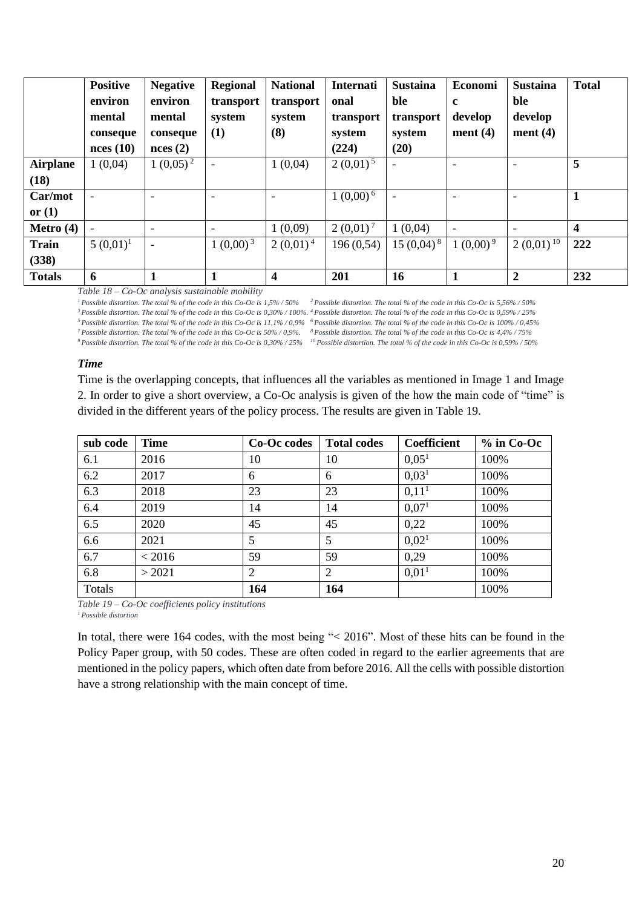|                 | <b>Positive</b><br>environ<br>mental<br>conseque<br>nces(10) | <b>Negative</b><br>environ<br>mental<br>conseque<br>nces(2) | <b>Regional</b><br>transport<br>system<br>(1) | <b>National</b><br>transport<br>system<br>(8) | <b>Internati</b><br>onal<br>transport<br>system<br>(224) | <b>Sustaina</b><br>ble<br>transport<br>system<br>(20) | Economi<br>c<br>develop<br>ment $(4)$ | <b>Sustaina</b><br>ble<br>develop<br>ment $(4)$ | <b>Total</b>            |
|-----------------|--------------------------------------------------------------|-------------------------------------------------------------|-----------------------------------------------|-----------------------------------------------|----------------------------------------------------------|-------------------------------------------------------|---------------------------------------|-------------------------------------------------|-------------------------|
| <b>Airplane</b> | 1(0,04)                                                      | $1(0,05)^2$                                                 | $\overline{\phantom{a}}$                      | 1(0,04)                                       | $2(0,01)^5$                                              | $\qquad \qquad$                                       | $\overline{\phantom{a}}$              | $\overline{\phantom{0}}$                        | 5                       |
| (18)            |                                                              |                                                             |                                               |                                               |                                                          |                                                       |                                       |                                                 |                         |
| Car/mot         | $\overline{\phantom{a}}$                                     | ۳                                                           | ۰                                             |                                               | $1(0,00)^6$                                              | $\overline{a}$                                        | $\overline{\phantom{a}}$              |                                                 | $\mathbf{1}$            |
| or $(1)$        |                                                              |                                                             |                                               |                                               |                                                          |                                                       |                                       |                                                 |                         |
| Metro $(4)$     |                                                              | -                                                           |                                               | 1(0,09)                                       | $2(0,01)^7$                                              | 1(0,04)                                               | $\overline{\phantom{a}}$              |                                                 | $\overline{\mathbf{4}}$ |
| <b>Train</b>    | $5(0,01)^1$                                                  | $\sim$                                                      | $1(0,00)^{3}$                                 | $2(0,01)^4$                                   | 196(0,54)                                                | $15(0,04)^8$                                          | $1(0,00)^9$                           | $2(0,01)^{10}$                                  | 222                     |
| (338)           |                                                              |                                                             |                                               |                                               |                                                          |                                                       |                                       |                                                 |                         |
| <b>Totals</b>   | 6                                                            |                                                             |                                               | $\overline{\mathbf{4}}$                       | 201                                                      | 16                                                    |                                       | $\boldsymbol{2}$                                | 232                     |

*Table 18 – Co-Oc analysis sustainable mobility* 

*<sup>1</sup>Possible distortion. The total % of the code in this Co-Oc is 1,5% / 50% <sup>2</sup>Possible distortion. The total % of the code in this Co-Oc is 5,56% / 50%* 

*<sup>3</sup>Possible distortion. The total % of the code in this Co-Oc is 0,30% / 100%. <sup>4</sup>Possible distortion. The total % of the code in this Co-Oc is 0,59% / 25%*

*<sup>5</sup>Possible distortion. The total % of the code in this Co-Oc is 11,1% / 0,9% <sup>6</sup>Possible distortion. The total % of the code in this Co-Oc is 100% / 0,45%* 

*<sup>7</sup>Possible distortion. The total % of the code in this Co-Oc is 50% / 0,9%. <sup>8</sup>Possible distortion. The total % of the code in this Co-Oc is 4,4% / 75%*

*<sup>9</sup>Possible distortion. The total % of the code in this Co-Oc is 0,30% / 25% <sup>10</sup>Possible distortion. The total % of the code in this Co-Oc is 0,59% / 50%* 

#### *Time*

Time is the overlapping concepts, that influences all the variables as mentioned in Image 1 and Image 2. In order to give a short overview, a Co-Oc analysis is given of the how the main code of "time" is divided in the different years of the policy process. The results are given in Table 19.

| sub code | <b>Time</b> | Co-Oc codes | <b>Total codes</b> | Coefficient       | $%$ in Co-Oc |
|----------|-------------|-------------|--------------------|-------------------|--------------|
| 6.1      | 2016        | 10          | 10                 | 0.05 <sup>1</sup> | 100%         |
| 6.2      | 2017        | 6           | 6                  | 0.03 <sup>1</sup> | 100%         |
| 6.3      | 2018        | 23          | 23                 | 0,11 <sup>1</sup> | 100%         |
| 6.4      | 2019        | 14          | 14                 | 0.07 <sup>1</sup> | 100%         |
| 6.5      | 2020        | 45          | 45                 | 0,22              | 100%         |
| 6.6      | 2021        | 5           | 5                  | 0,02 <sup>1</sup> | 100%         |
| 6.7      | < 2016      | 59          | 59                 | 0,29              | 100%         |
| 6.8      | > 2021      | 2           | 2                  | 0.01 <sup>1</sup> | 100%         |
| Totals   |             | 164         | 164                |                   | 100%         |

*Table 19 – Co-Oc coefficients policy institutions*

*<sup>1</sup>Possible distortion*

In total, there were 164 codes, with the most being "< 2016". Most of these hits can be found in the Policy Paper group, with 50 codes. These are often coded in regard to the earlier agreements that are mentioned in the policy papers, which often date from before 2016. All the cells with possible distortion have a strong relationship with the main concept of time.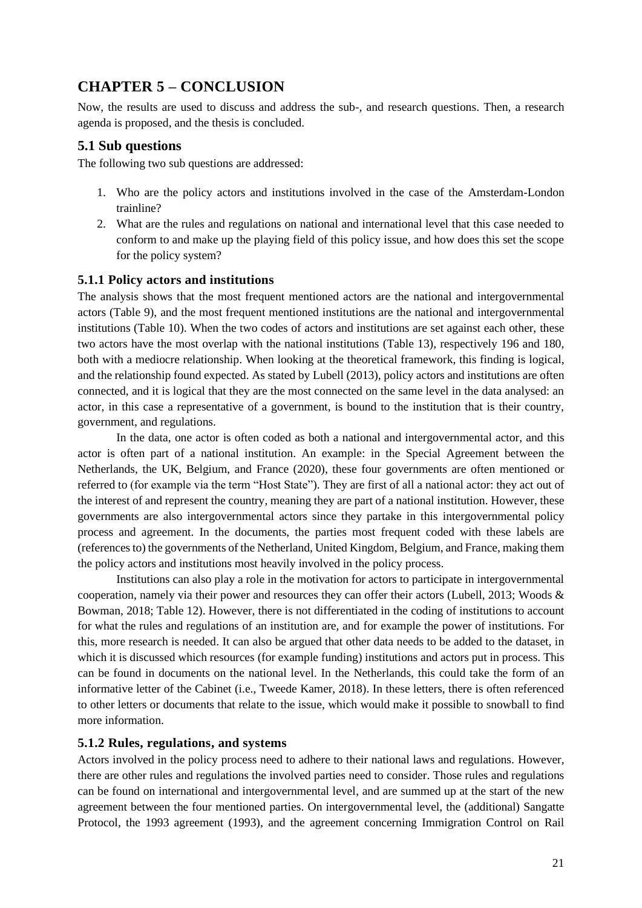## <span id="page-23-0"></span>**CHAPTER 5 – CONCLUSION**

Now, the results are used to discuss and address the sub-, and research questions. Then, a research agenda is proposed, and the thesis is concluded.

#### <span id="page-23-1"></span>**5.1 Sub questions**

The following two sub questions are addressed:

- 1. Who are the policy actors and institutions involved in the case of the Amsterdam-London trainline?
- 2. What are the rules and regulations on national and international level that this case needed to conform to and make up the playing field of this policy issue, and how does this set the scope for the policy system?

#### **5.1.1 Policy actors and institutions**

The analysis shows that the most frequent mentioned actors are the national and intergovernmental actors (Table 9), and the most frequent mentioned institutions are the national and intergovernmental institutions (Table 10). When the two codes of actors and institutions are set against each other, these two actors have the most overlap with the national institutions (Table 13), respectively 196 and 180, both with a mediocre relationship. When looking at the theoretical framework, this finding is logical, and the relationship found expected. As stated by Lubell (2013), policy actors and institutions are often connected, and it is logical that they are the most connected on the same level in the data analysed: an actor, in this case a representative of a government, is bound to the institution that is their country, government, and regulations.

In the data, one actor is often coded as both a national and intergovernmental actor, and this actor is often part of a national institution. An example: in the Special Agreement between the Netherlands, the UK, Belgium, and France (2020), these four governments are often mentioned or referred to (for example via the term "Host State"). They are first of all a national actor: they act out of the interest of and represent the country, meaning they are part of a national institution. However, these governments are also intergovernmental actors since they partake in this intergovernmental policy process and agreement. In the documents, the parties most frequent coded with these labels are (references to) the governments of the Netherland, United Kingdom, Belgium, and France, making them the policy actors and institutions most heavily involved in the policy process.

Institutions can also play a role in the motivation for actors to participate in intergovernmental cooperation, namely via their power and resources they can offer their actors (Lubell, 2013; Woods & Bowman, 2018; Table 12). However, there is not differentiated in the coding of institutions to account for what the rules and regulations of an institution are, and for example the power of institutions. For this, more research is needed. It can also be argued that other data needs to be added to the dataset, in which it is discussed which resources (for example funding) institutions and actors put in process. This can be found in documents on the national level. In the Netherlands, this could take the form of an informative letter of the Cabinet (i.e., Tweede Kamer, 2018). In these letters, there is often referenced to other letters or documents that relate to the issue, which would make it possible to snowball to find more information.

#### **5.1.2 Rules, regulations, and systems**

Actors involved in the policy process need to adhere to their national laws and regulations. However, there are other rules and regulations the involved parties need to consider. Those rules and regulations can be found on international and intergovernmental level, and are summed up at the start of the new agreement between the four mentioned parties. On intergovernmental level, the (additional) Sangatte Protocol, the 1993 agreement (1993), and the agreement concerning Immigration Control on Rail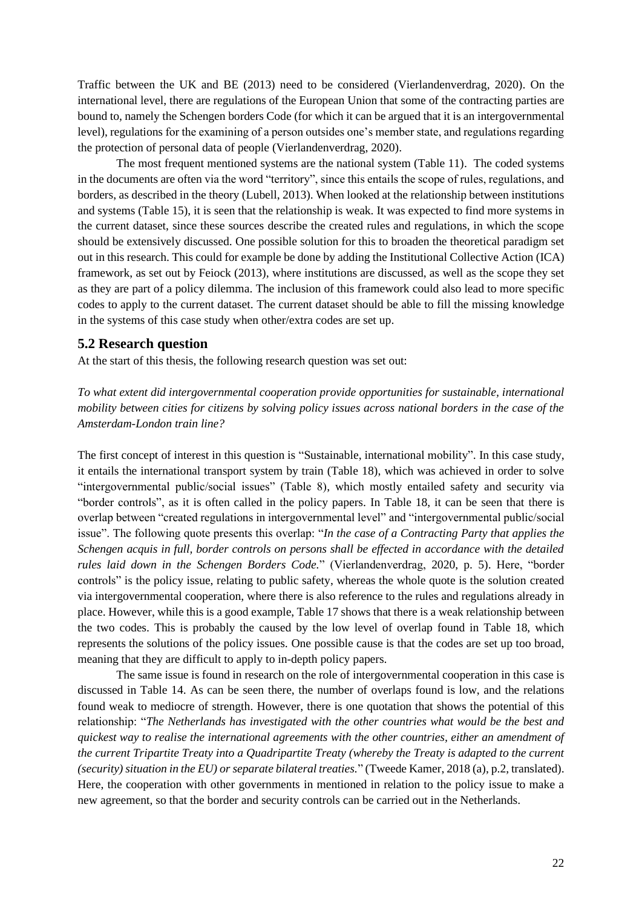Traffic between the UK and BE (2013) need to be considered (Vierlandenverdrag, 2020). On the international level, there are regulations of the European Union that some of the contracting parties are bound to, namely the Schengen borders Code (for which it can be argued that it is an intergovernmental level), regulations for the examining of a person outsides one's member state, and regulations regarding the protection of personal data of people (Vierlandenverdrag, 2020).

The most frequent mentioned systems are the national system (Table 11). The coded systems in the documents are often via the word "territory", since this entails the scope of rules, regulations, and borders, as described in the theory (Lubell, 2013). When looked at the relationship between institutions and systems (Table 15), it is seen that the relationship is weak. It was expected to find more systems in the current dataset, since these sources describe the created rules and regulations, in which the scope should be extensively discussed. One possible solution for this to broaden the theoretical paradigm set out in this research. This could for example be done by adding the Institutional Collective Action (ICA) framework, as set out by Feiock (2013), where institutions are discussed, as well as the scope they set as they are part of a policy dilemma. The inclusion of this framework could also lead to more specific codes to apply to the current dataset. The current dataset should be able to fill the missing knowledge in the systems of this case study when other/extra codes are set up.

#### <span id="page-24-0"></span>**5.2 Research question**

At the start of this thesis, the following research question was set out:

*To what extent did intergovernmental cooperation provide opportunities for sustainable, international mobility between cities for citizens by solving policy issues across national borders in the case of the Amsterdam-London train line?*

The first concept of interest in this question is "Sustainable, international mobility". In this case study, it entails the international transport system by train (Table 18), which was achieved in order to solve "intergovernmental public/social issues" (Table 8), which mostly entailed safety and security via "border controls", as it is often called in the policy papers. In Table 18, it can be seen that there is overlap between "created regulations in intergovernmental level" and "intergovernmental public/social issue". The following quote presents this overlap: "*In the case of a Contracting Party that applies the Schengen acquis in full, border controls on persons shall be effected in accordance with the detailed rules laid down in the Schengen Borders Code.*" (Vierlandenverdrag, 2020, p. 5). Here, "border controls" is the policy issue, relating to public safety, whereas the whole quote is the solution created via intergovernmental cooperation, where there is also reference to the rules and regulations already in place. However, while this is a good example, Table 17 shows that there is a weak relationship between the two codes. This is probably the caused by the low level of overlap found in Table 18, which represents the solutions of the policy issues. One possible cause is that the codes are set up too broad, meaning that they are difficult to apply to in-depth policy papers.

The same issue is found in research on the role of intergovernmental cooperation in this case is discussed in Table 14. As can be seen there, the number of overlaps found is low, and the relations found weak to mediocre of strength. However, there is one quotation that shows the potential of this relationship: "*The Netherlands has investigated with the other countries what would be the best and quickest way to realise the international agreements with the other countries, either an amendment of the current Tripartite Treaty into a Quadripartite Treaty (whereby the Treaty is adapted to the current (security) situation in the EU) or separate bilateral treaties.*" (Tweede Kamer, 2018 (a), p.2, translated). Here, the cooperation with other governments in mentioned in relation to the policy issue to make a new agreement, so that the border and security controls can be carried out in the Netherlands.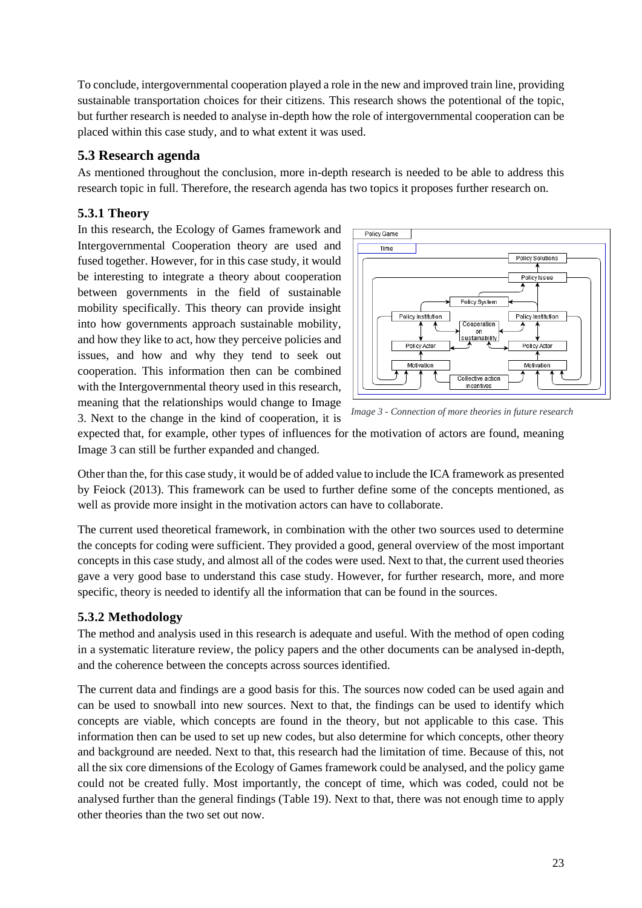To conclude, intergovernmental cooperation played a role in the new and improved train line, providing sustainable transportation choices for their citizens. This research shows the potentional of the topic, but further research is needed to analyse in-depth how the role of intergovernmental cooperation can be placed within this case study, and to what extent it was used.

#### <span id="page-25-0"></span>**5.3 Research agenda**

As mentioned throughout the conclusion, more in-depth research is needed to be able to address this research topic in full. Therefore, the research agenda has two topics it proposes further research on.

#### **5.3.1 Theory**

In this research, the Ecology of Games framework and Intergovernmental Cooperation theory are used and fused together. However, for in this case study, it would be interesting to integrate a theory about cooperation between governments in the field of sustainable mobility specifically. This theory can provide insight into how governments approach sustainable mobility, and how they like to act, how they perceive policies and issues, and how and why they tend to seek out cooperation. This information then can be combined with the Intergovernmental theory used in this research, meaning that the relationships would change to Image 3. Next to the change in the kind of cooperation, it is





expected that, for example, other types of influences for the motivation of actors are found, meaning Image 3 can still be further expanded and changed.

Other than the, for this case study, it would be of added value to include the ICA framework as presented by Feiock (2013). This framework can be used to further define some of the concepts mentioned, as well as provide more insight in the motivation actors can have to collaborate.

The current used theoretical framework, in combination with the other two sources used to determine the concepts for coding were sufficient. They provided a good, general overview of the most important concepts in this case study, and almost all of the codes were used. Next to that, the current used theories gave a very good base to understand this case study. However, for further research, more, and more specific, theory is needed to identify all the information that can be found in the sources.

#### **5.3.2 Methodology**

The method and analysis used in this research is adequate and useful. With the method of open coding in a systematic literature review, the policy papers and the other documents can be analysed in-depth, and the coherence between the concepts across sources identified.

The current data and findings are a good basis for this. The sources now coded can be used again and can be used to snowball into new sources. Next to that, the findings can be used to identify which concepts are viable, which concepts are found in the theory, but not applicable to this case. This information then can be used to set up new codes, but also determine for which concepts, other theory and background are needed. Next to that, this research had the limitation of time. Because of this, not all the six core dimensions of the Ecology of Games framework could be analysed, and the policy game could not be created fully. Most importantly, the concept of time, which was coded, could not be analysed further than the general findings (Table 19). Next to that, there was not enough time to apply other theories than the two set out now.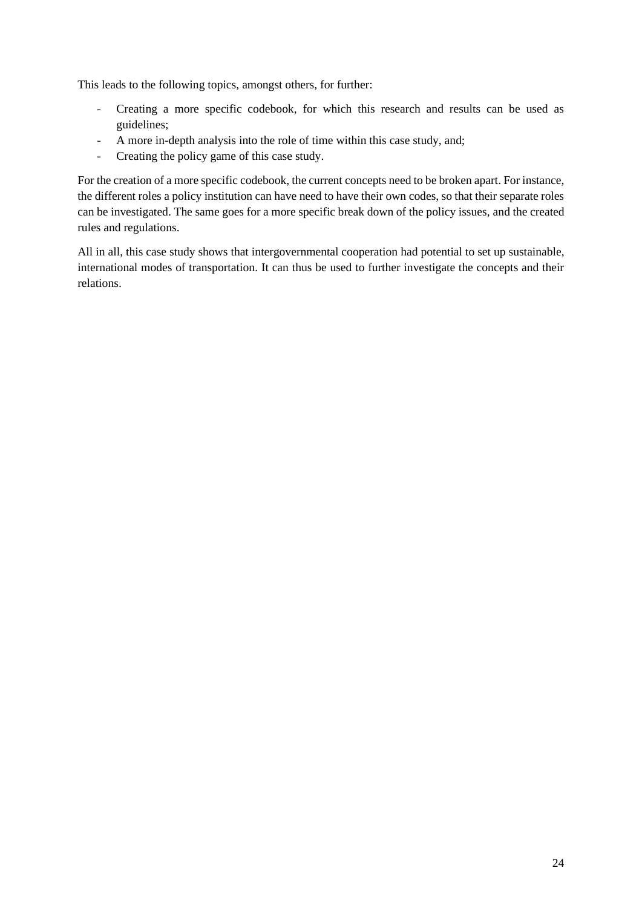This leads to the following topics, amongst others, for further:

- Creating a more specific codebook, for which this research and results can be used as guidelines;
- A more in-depth analysis into the role of time within this case study, and;
- Creating the policy game of this case study.

For the creation of a more specific codebook, the current concepts need to be broken apart. For instance, the different roles a policy institution can have need to have their own codes, so that their separate roles can be investigated. The same goes for a more specific break down of the policy issues, and the created rules and regulations.

All in all, this case study shows that intergovernmental cooperation had potential to set up sustainable, international modes of transportation. It can thus be used to further investigate the concepts and their relations.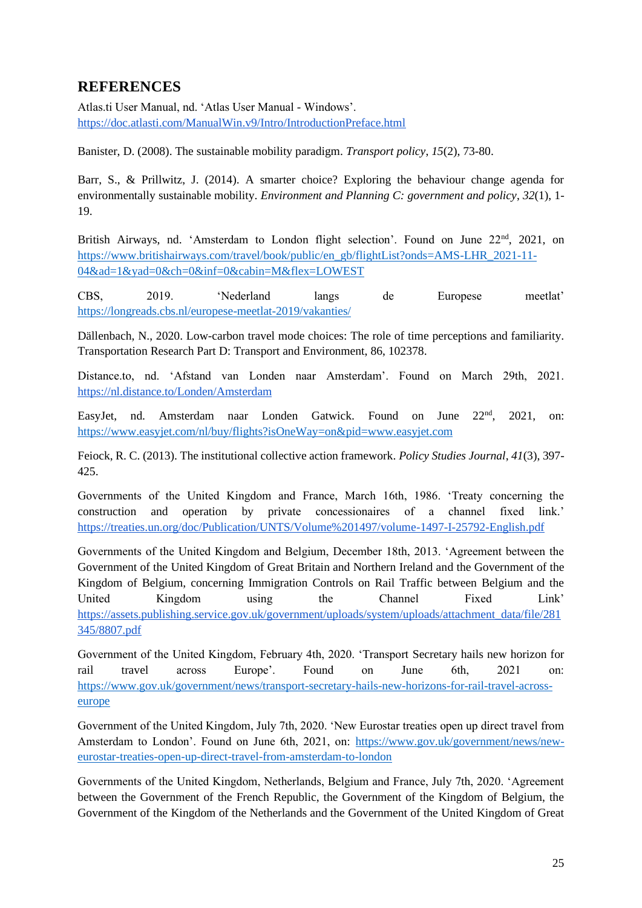## <span id="page-27-0"></span>**REFERENCES**

Atlas.ti User Manual, nd. 'Atlas User Manual - Windows'. <https://doc.atlasti.com/ManualWin.v9/Intro/IntroductionPreface.html>

Banister, D. (2008). The sustainable mobility paradigm. *Transport policy*, *15*(2), 73-80.

Barr, S., & Prillwitz, J. (2014). A smarter choice? Exploring the behaviour change agenda for environmentally sustainable mobility. *Environment and Planning C: government and policy*, *32*(1), 1- 19.

British Airways, nd. 'Amsterdam to London flight selection'. Found on June 22<sup>nd</sup>, 2021, on [https://www.britishairways.com/travel/book/public/en\\_gb/flightList?onds=AMS-LHR\\_2021-11-](https://www.britishairways.com/travel/book/public/en_gb/flightList?onds=AMS-LHR_2021-11-04&ad=1&yad=0&ch=0&inf=0&cabin=M&flex=LOWEST) [04&ad=1&yad=0&ch=0&inf=0&cabin=M&flex=LOWEST](https://www.britishairways.com/travel/book/public/en_gb/flightList?onds=AMS-LHR_2021-11-04&ad=1&yad=0&ch=0&inf=0&cabin=M&flex=LOWEST)

CBS, 2019. 'Nederland langs de Europese meetlat' <https://longreads.cbs.nl/europese-meetlat-2019/vakanties/>

Dällenbach, N., 2020. Low-carbon travel mode choices: The role of time perceptions and familiarity. Transportation Research Part D: Transport and Environment, 86, 102378.

Distance.to, nd. 'Afstand van Londen naar Amsterdam'. Found on March 29th, 2021. <https://nl.distance.to/Londen/Amsterdam>

EasyJet, nd. Amsterdam naar Londen Gatwick. Found on June  $22<sup>nd</sup>$ , 2021, on: <https://www.easyjet.com/nl/buy/flights?isOneWay=on&pid=www.easyjet.com>

Feiock, R. C. (2013). The institutional collective action framework. *Policy Studies Journal*, *41*(3), 397- 425.

Governments of the United Kingdom and France, March 16th, 1986. 'Treaty concerning the construction and operation by private concessionaires of a channel fixed link.' <https://treaties.un.org/doc/Publication/UNTS/Volume%201497/volume-1497-I-25792-English.pdf>

Governments of the United Kingdom and Belgium, December 18th, 2013. 'Agreement between the Government of the United Kingdom of Great Britain and Northern Ireland and the Government of the Kingdom of Belgium, concerning Immigration Controls on Rail Traffic between Belgium and the United Kingdom using the Channel Fixed Link' [https://assets.publishing.service.gov.uk/government/uploads/system/uploads/attachment\\_data/file/281](https://assets.publishing.service.gov.uk/government/uploads/system/uploads/attachment_data/file/281345/8807.pdf) [345/8807.pdf](https://assets.publishing.service.gov.uk/government/uploads/system/uploads/attachment_data/file/281345/8807.pdf)

Government of the United Kingdom, February 4th, 2020. 'Transport Secretary hails new horizon for rail travel across Europe'. Found on June 6th, 2021 on: [https://www.gov.uk/government/news/transport-secretary-hails-new-horizons-for-rail-travel-across](https://www.gov.uk/government/news/transport-secretary-hails-new-horizons-for-rail-travel-across-europe)[europe](https://www.gov.uk/government/news/transport-secretary-hails-new-horizons-for-rail-travel-across-europe) 

Government of the United Kingdom, July 7th, 2020. 'New Eurostar treaties open up direct travel from Amsterdam to London'. Found on June 6th, 2021, on: [https://www.gov.uk/government/news/new](https://www.gov.uk/government/news/new-eurostar-treaties-open-up-direct-travel-from-amsterdam-to-london)[eurostar-treaties-open-up-direct-travel-from-amsterdam-to-london](https://www.gov.uk/government/news/new-eurostar-treaties-open-up-direct-travel-from-amsterdam-to-london)

Governments of the United Kingdom, Netherlands, Belgium and France, July 7th, 2020. 'Agreement between the Government of the French Republic, the Government of the Kingdom of Belgium, the Government of the Kingdom of the Netherlands and the Government of the United Kingdom of Great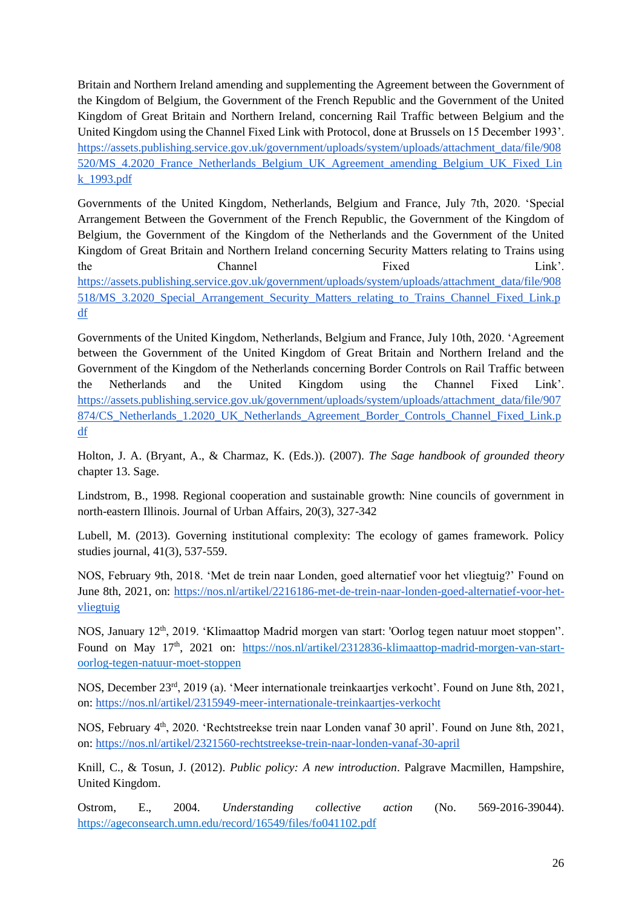Britain and Northern Ireland amending and supplementing the Agreement between the Government of the Kingdom of Belgium, the Government of the French Republic and the Government of the United Kingdom of Great Britain and Northern Ireland, concerning Rail Traffic between Belgium and the United Kingdom using the Channel Fixed Link with Protocol, done at Brussels on 15 December 1993'. [https://assets.publishing.service.gov.uk/government/uploads/system/uploads/attachment\\_data/file/908](https://assets.publishing.service.gov.uk/government/uploads/system/uploads/attachment_data/file/908520/MS_4.2020_France_Netherlands_Belgium_UK_Agreement_amending_Belgium_UK_Fixed_Link_1993.pdf) 520/MS 4.2020 France Netherlands Belgium UK Agreement amending Belgium UK Fixed Lin [k\\_1993.pdf](https://assets.publishing.service.gov.uk/government/uploads/system/uploads/attachment_data/file/908520/MS_4.2020_France_Netherlands_Belgium_UK_Agreement_amending_Belgium_UK_Fixed_Link_1993.pdf)

Governments of the United Kingdom, Netherlands, Belgium and France, July 7th, 2020. 'Special Arrangement Between the Government of the French Republic, the Government of the Kingdom of Belgium, the Government of the Kingdom of the Netherlands and the Government of the United Kingdom of Great Britain and Northern Ireland concerning Security Matters relating to Trains using the Channel Fixed Link'. [https://assets.publishing.service.gov.uk/government/uploads/system/uploads/attachment\\_data/file/908](https://assets.publishing.service.gov.uk/government/uploads/system/uploads/attachment_data/file/908518/MS_3.2020_Special_Arrangement_Security_Matters_relating_to_Trains_Channel_Fixed_Link.pdf) [518/MS\\_3.2020\\_Special\\_Arrangement\\_Security\\_Matters\\_relating\\_to\\_Trains\\_Channel\\_Fixed\\_Link.p](https://assets.publishing.service.gov.uk/government/uploads/system/uploads/attachment_data/file/908518/MS_3.2020_Special_Arrangement_Security_Matters_relating_to_Trains_Channel_Fixed_Link.pdf) [df](https://assets.publishing.service.gov.uk/government/uploads/system/uploads/attachment_data/file/908518/MS_3.2020_Special_Arrangement_Security_Matters_relating_to_Trains_Channel_Fixed_Link.pdf)

Governments of the United Kingdom, Netherlands, Belgium and France, July 10th, 2020. 'Agreement between the Government of the United Kingdom of Great Britain and Northern Ireland and the Government of the Kingdom of the Netherlands concerning Border Controls on Rail Traffic between the Netherlands and the United Kingdom using the Channel Fixed Link'. [https://assets.publishing.service.gov.uk/government/uploads/system/uploads/attachment\\_data/file/907](https://assets.publishing.service.gov.uk/government/uploads/system/uploads/attachment_data/file/907874/CS_Netherlands_1.2020_UK_Netherlands_Agreement_Border_Controls_Channel_Fixed_Link.pdf) [874/CS\\_Netherlands\\_1.2020\\_UK\\_Netherlands\\_Agreement\\_Border\\_Controls\\_Channel\\_Fixed\\_Link.p](https://assets.publishing.service.gov.uk/government/uploads/system/uploads/attachment_data/file/907874/CS_Netherlands_1.2020_UK_Netherlands_Agreement_Border_Controls_Channel_Fixed_Link.pdf) [df](https://assets.publishing.service.gov.uk/government/uploads/system/uploads/attachment_data/file/907874/CS_Netherlands_1.2020_UK_Netherlands_Agreement_Border_Controls_Channel_Fixed_Link.pdf)

Holton, J. A. (Bryant, A., & Charmaz, K. (Eds.)). (2007). *The Sage handbook of grounded theory* chapter 13. Sage.

Lindstrom, B., 1998. Regional cooperation and sustainable growth: Nine councils of government in north-eastern Illinois. Journal of Urban Affairs, 20(3), 327-342

Lubell, M. (2013). Governing institutional complexity: The ecology of games framework. Policy studies journal, 41(3), 537-559.

NOS, February 9th, 2018. 'Met de trein naar Londen, goed alternatief voor het vliegtuig?' Found on June 8th, 2021, on: [https://nos.nl/artikel/2216186-met-de-trein-naar-londen-goed-alternatief-voor-het](https://nos.nl/artikel/2216186-met-de-trein-naar-londen-goed-alternatief-voor-het-vliegtuig)[vliegtuig](https://nos.nl/artikel/2216186-met-de-trein-naar-londen-goed-alternatief-voor-het-vliegtuig)

NOS, January 12th, 2019. 'Klimaattop Madrid morgen van start: 'Oorlog tegen natuur moet stoppen''. Found on May 17<sup>th</sup>, 2021 on: [https://nos.nl/artikel/2312836-klimaattop-madrid-morgen-van-start](https://nos.nl/artikel/2312836-klimaattop-madrid-morgen-van-start-oorlog-tegen-natuur-moet-stoppen)[oorlog-tegen-natuur-moet-stoppen](https://nos.nl/artikel/2312836-klimaattop-madrid-morgen-van-start-oorlog-tegen-natuur-moet-stoppen)

NOS, December 23rd, 2019 (a). 'Meer internationale treinkaartjes verkocht'. Found on June 8th, 2021, on:<https://nos.nl/artikel/2315949-meer-internationale-treinkaartjes-verkocht>

NOS, February 4<sup>th</sup>, 2020. 'Rechtstreekse trein naar Londen vanaf 30 april'. Found on June 8th, 2021, on:<https://nos.nl/artikel/2321560-rechtstreekse-trein-naar-londen-vanaf-30-april>

Knill, C., & Tosun, J. (2012). *Public policy: A new introduction*. Palgrave Macmillen, Hampshire, United Kingdom.

Ostrom, E., 2004. *Understanding collective action* (No. 569-2016-39044). <https://ageconsearch.umn.edu/record/16549/files/fo041102.pdf>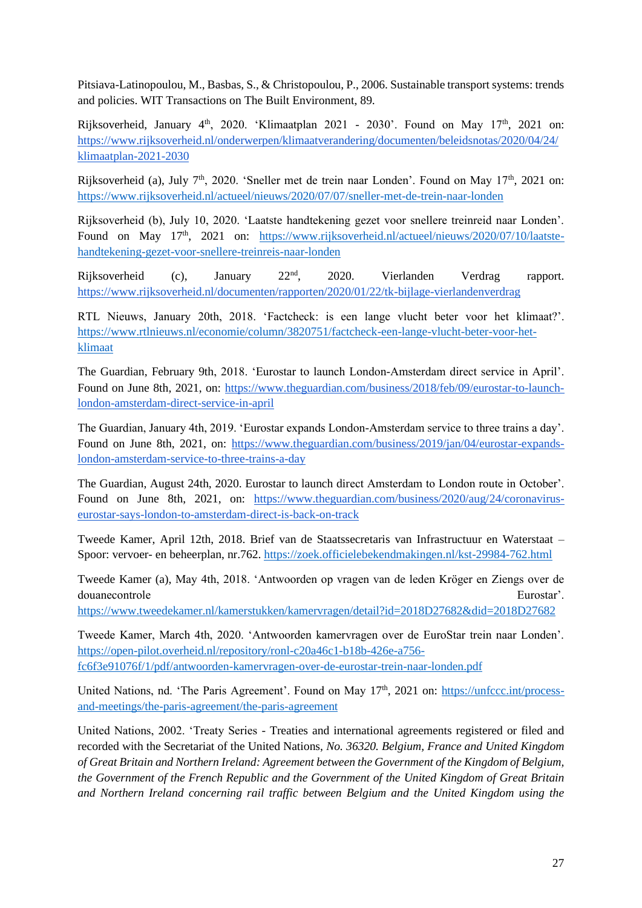Pitsiava-Latinopoulou, M., Basbas, S., & Christopoulou, P., 2006. Sustainable transport systems: trends and policies. WIT Transactions on The Built Environment, 89.

Rijksoverheid, January  $4<sup>th</sup>$ , 2020. 'Klimaatplan 2021 - 2030'. Found on May  $17<sup>th</sup>$ , 2021 on: [https://www.rijksoverheid.nl/onderwerpen/klimaatverandering/documenten/beleidsnotas/2020/04/24/](https://www.rijksoverheid.nl/onderwerpen/klimaatverandering/documenten/beleidsnotas/2020/04/24/klimaatplan-2021-2030) [klimaatplan-2021-2030](https://www.rijksoverheid.nl/onderwerpen/klimaatverandering/documenten/beleidsnotas/2020/04/24/klimaatplan-2021-2030)

Rijksoverheid (a), July 7<sup>th</sup>, 2020. 'Sneller met de trein naar Londen'. Found on May 17<sup>th</sup>, 2021 on: <https://www.rijksoverheid.nl/actueel/nieuws/2020/07/07/sneller-met-de-trein-naar-londen>

Rijksoverheid (b), July 10, 2020. 'Laatste handtekening gezet voor snellere treinreid naar Londen'. Found on May 17<sup>th</sup>, 2021 on: [https://www.rijksoverheid.nl/actueel/nieuws/2020/07/10/laatste](https://www.rijksoverheid.nl/actueel/nieuws/2020/07/10/laatste-handtekening-gezet-voor-snellere-treinreis-naar-londen)[handtekening-gezet-voor-snellere-treinreis-naar-londen](https://www.rijksoverheid.nl/actueel/nieuws/2020/07/10/laatste-handtekening-gezet-voor-snellere-treinreis-naar-londen)

Rijksoverheid (c), January 22nd, 2020. Vierlanden Verdrag rapport. <https://www.rijksoverheid.nl/documenten/rapporten/2020/01/22/tk-bijlage-vierlandenverdrag>

RTL Nieuws, January 20th, 2018. 'Factcheck: is een lange vlucht beter voor het klimaat?'. [https://www.rtlnieuws.nl/economie/column/3820751/factcheck-een-lange-vlucht-beter-voor-het](https://www.rtlnieuws.nl/economie/column/3820751/factcheck-een-lange-vlucht-beter-voor-het-klimaat)[klimaat](https://www.rtlnieuws.nl/economie/column/3820751/factcheck-een-lange-vlucht-beter-voor-het-klimaat)

The Guardian, February 9th, 2018. 'Eurostar to launch London-Amsterdam direct service in April'. Found on June 8th, 2021, on: [https://www.theguardian.com/business/2018/feb/09/eurostar-to-launch](https://www.theguardian.com/business/2018/feb/09/eurostar-to-launch-london-amsterdam-direct-service-in-april)[london-amsterdam-direct-service-in-april](https://www.theguardian.com/business/2018/feb/09/eurostar-to-launch-london-amsterdam-direct-service-in-april)

The Guardian, January 4th, 2019. 'Eurostar expands London-Amsterdam service to three trains a day'. Found on June 8th, 2021, on: [https://www.theguardian.com/business/2019/jan/04/eurostar-expands](https://www.theguardian.com/business/2019/jan/04/eurostar-expands-london-amsterdam-service-to-three-trains-a-day)[london-amsterdam-service-to-three-trains-a-day](https://www.theguardian.com/business/2019/jan/04/eurostar-expands-london-amsterdam-service-to-three-trains-a-day)

The Guardian, August 24th, 2020. Eurostar to launch direct Amsterdam to London route in October'. Found on June 8th, 2021, on: [https://www.theguardian.com/business/2020/aug/24/coronavirus](https://www.theguardian.com/business/2020/aug/24/coronavirus-eurostar-says-london-to-amsterdam-direct-is-back-on-track)[eurostar-says-london-to-amsterdam-direct-is-back-on-track](https://www.theguardian.com/business/2020/aug/24/coronavirus-eurostar-says-london-to-amsterdam-direct-is-back-on-track)

Tweede Kamer, April 12th, 2018. Brief van de Staatssecretaris van Infrastructuur en Waterstaat – Spoor: vervoer- en beheerplan, nr.762.<https://zoek.officielebekendmakingen.nl/kst-29984-762.html>

Tweede Kamer (a), May 4th, 2018. 'Antwoorden op vragen van de leden Kröger en Ziengs over de douanecontrole Eurostar'.

<https://www.tweedekamer.nl/kamerstukken/kamervragen/detail?id=2018D27682&did=2018D27682>

Tweede Kamer, March 4th, 2020. 'Antwoorden kamervragen over de EuroStar trein naar Londen'. [https://open-pilot.overheid.nl/repository/ronl-c20a46c1-b18b-426e-a756](https://open-pilot.overheid.nl/repository/ronl-c20a46c1-b18b-426e-a756-fc6f3e91076f/1/pdf/antwoorden-kamervragen-over-de-eurostar-trein-naar-londen.pdf) [fc6f3e91076f/1/pdf/antwoorden-kamervragen-over-de-eurostar-trein-naar-londen.pdf](https://open-pilot.overheid.nl/repository/ronl-c20a46c1-b18b-426e-a756-fc6f3e91076f/1/pdf/antwoorden-kamervragen-over-de-eurostar-trein-naar-londen.pdf)

United Nations, nd. 'The Paris Agreement'. Found on May 17<sup>th</sup>, 2021 on: [https://unfccc.int/process](https://unfccc.int/process-and-meetings/the-paris-agreement/the-paris-agreement)[and-meetings/the-paris-agreement/the-paris-agreement](https://unfccc.int/process-and-meetings/the-paris-agreement/the-paris-agreement)

United Nations, 2002. 'Treaty Series - Treaties and international agreements registered or filed and recorded with the Secretariat of the United Nations, *No. 36320. Belgium, France and United Kingdom of Great Britain and Northern Ireland: Agreement between the Government of the Kingdom of Belgium, the Government of the French Republic and the Government of the United Kingdom of Great Britain and Northern Ireland concerning rail traffic between Belgium and the United Kingdom using the*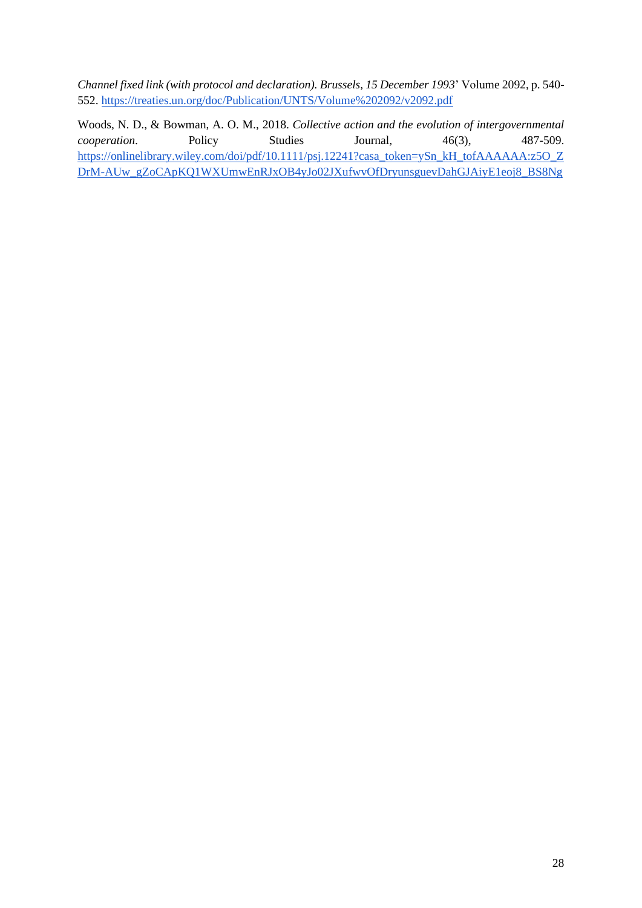*Channel fixed link (with protocol and declaration). Brussels, 15 December 1993*' Volume 2092, p. 540- 552.<https://treaties.un.org/doc/Publication/UNTS/Volume%202092/v2092.pdf>

Woods, N. D., & Bowman, A. O. M., 2018. *Collective action and the evolution of intergovernmental cooperation.* Policy Studies Journal, 46(3), 487-509. [https://onlinelibrary.wiley.com/doi/pdf/10.1111/psj.12241?casa\\_token=ySn\\_kH\\_tofAAAAAA:z5O\\_Z](https://onlinelibrary.wiley.com/doi/pdf/10.1111/psj.12241?casa_token=ySn_kH_tofAAAAAA:z5O_ZDrM-AUw_gZoCApKQ1WXUmwEnRJxOB4yJo02JXufwvOfDryunsguevDahGJAiyE1eoj8_BS8Ng) [DrM-AUw\\_gZoCApKQ1WXUmwEnRJxOB4yJo02JXufwvOfDryunsguevDahGJAiyE1eoj8\\_BS8Ng](https://onlinelibrary.wiley.com/doi/pdf/10.1111/psj.12241?casa_token=ySn_kH_tofAAAAAA:z5O_ZDrM-AUw_gZoCApKQ1WXUmwEnRJxOB4yJo02JXufwvOfDryunsguevDahGJAiyE1eoj8_BS8Ng)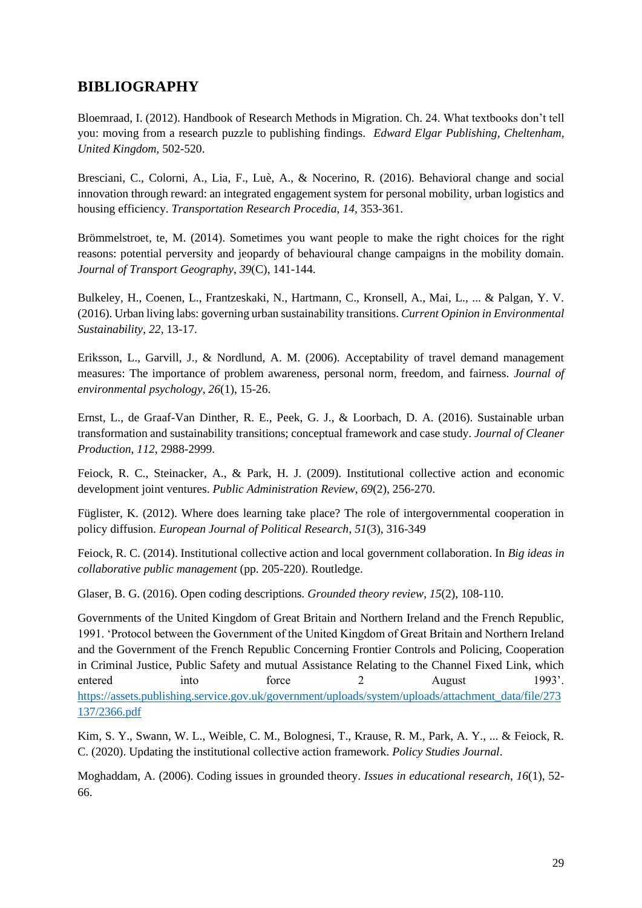## <span id="page-31-0"></span>**BIBLIOGRAPHY**

Bloemraad, I. (2012). Handbook of Research Methods in Migration. Ch. 24. What textbooks don't tell you: moving from a research puzzle to publishing findings. *Edward Elgar Publishing, Cheltenham, United Kingdom,* 502-520.

Bresciani, C., Colorni, A., Lia, F., Luè, A., & Nocerino, R. (2016). Behavioral change and social innovation through reward: an integrated engagement system for personal mobility, urban logistics and housing efficiency. *Transportation Research Procedia*, *14*, 353-361.

Brömmelstroet, te, M. (2014). Sometimes you want people to make the right choices for the right reasons: potential perversity and jeopardy of behavioural change campaigns in the mobility domain. *Journal of Transport Geography*, *39*(C), 141-144.

Bulkeley, H., Coenen, L., Frantzeskaki, N., Hartmann, C., Kronsell, A., Mai, L., ... & Palgan, Y. V. (2016). Urban living labs: governing urban sustainability transitions. *Current Opinion in Environmental Sustainability*, *22*, 13-17.

Eriksson, L., Garvill, J., & Nordlund, A. M. (2006). Acceptability of travel demand management measures: The importance of problem awareness, personal norm, freedom, and fairness. *Journal of environmental psychology*, *26*(1), 15-26.

Ernst, L., de Graaf-Van Dinther, R. E., Peek, G. J., & Loorbach, D. A. (2016). Sustainable urban transformation and sustainability transitions; conceptual framework and case study. *Journal of Cleaner Production*, *112*, 2988-2999.

Feiock, R. C., Steinacker, A., & Park, H. J. (2009). Institutional collective action and economic development joint ventures. *Public Administration Review*, *69*(2), 256-270.

Füglister, K. (2012). Where does learning take place? The role of intergovernmental cooperation in policy diffusion. *European Journal of Political Research*, *51*(3), 316-349

Feiock, R. C. (2014). Institutional collective action and local government collaboration. In *Big ideas in collaborative public management* (pp. 205-220). Routledge.

Glaser, B. G. (2016). Open coding descriptions. *Grounded theory review*, *15*(2), 108-110.

Governments of the United Kingdom of Great Britain and Northern Ireland and the French Republic, 1991. 'Protocol between the Government of the United Kingdom of Great Britain and Northern Ireland and the Government of the French Republic Concerning Frontier Controls and Policing, Cooperation in Criminal Justice, Public Safety and mutual Assistance Relating to the Channel Fixed Link, which entered into force 2 August 1993'. [https://assets.publishing.service.gov.uk/government/uploads/system/uploads/attachment\\_data/file/273](https://assets.publishing.service.gov.uk/government/uploads/system/uploads/attachment_data/file/273137/2366.pdf) [137/2366.pdf](https://assets.publishing.service.gov.uk/government/uploads/system/uploads/attachment_data/file/273137/2366.pdf)

Kim, S. Y., Swann, W. L., Weible, C. M., Bolognesi, T., Krause, R. M., Park, A. Y., ... & Feiock, R. C. (2020). Updating the institutional collective action framework. *Policy Studies Journal*.

Moghaddam, A. (2006). Coding issues in grounded theory. *Issues in educational research*, *16*(1), 52- 66.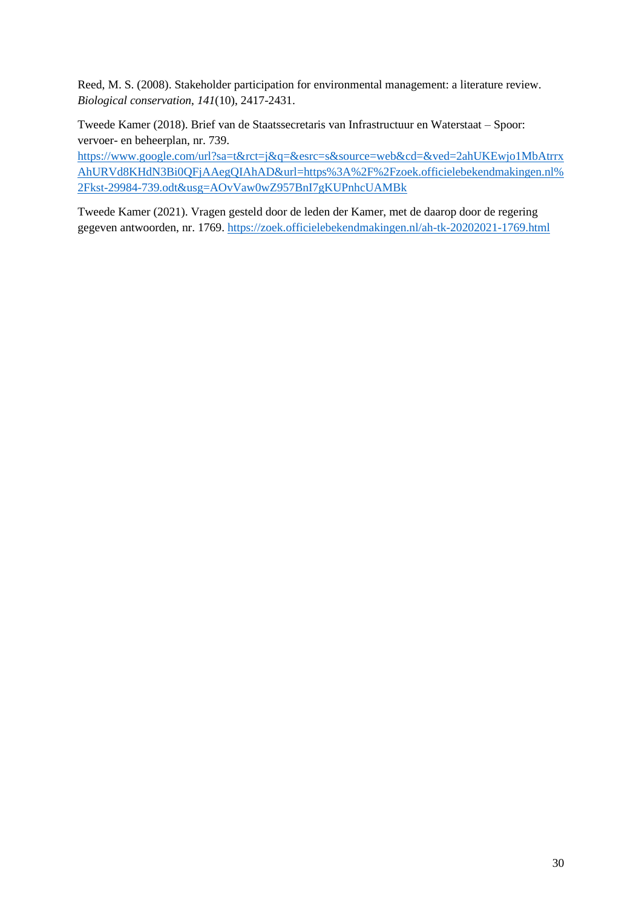Reed, M. S. (2008). Stakeholder participation for environmental management: a literature review. *Biological conservation*, *141*(10), 2417-2431.

Tweede Kamer (2018). Brief van de Staatssecretaris van Infrastructuur en Waterstaat – Spoor: vervoer- en beheerplan, nr. 739.

[https://www.google.com/url?sa=t&rct=j&q=&esrc=s&source=web&cd=&ved=2ahUKEwjo1MbAtrrx](https://www.google.com/url?sa=t&rct=j&q=&esrc=s&source=web&cd=&ved=2ahUKEwjo1MbAtrrxAhURVd8KHdN3Bi0QFjAAegQIAhAD&url=https%3A%2F%2Fzoek.officielebekendmakingen.nl%2Fkst-29984-739.odt&usg=AOvVaw0wZ957BnI7gKUPnhcUAMBk) [AhURVd8KHdN3Bi0QFjAAegQIAhAD&url=https%3A%2F%2Fzoek.officielebekendmakingen.nl%](https://www.google.com/url?sa=t&rct=j&q=&esrc=s&source=web&cd=&ved=2ahUKEwjo1MbAtrrxAhURVd8KHdN3Bi0QFjAAegQIAhAD&url=https%3A%2F%2Fzoek.officielebekendmakingen.nl%2Fkst-29984-739.odt&usg=AOvVaw0wZ957BnI7gKUPnhcUAMBk) [2Fkst-29984-739.odt&usg=AOvVaw0wZ957BnI7gKUPnhcUAMBk](https://www.google.com/url?sa=t&rct=j&q=&esrc=s&source=web&cd=&ved=2ahUKEwjo1MbAtrrxAhURVd8KHdN3Bi0QFjAAegQIAhAD&url=https%3A%2F%2Fzoek.officielebekendmakingen.nl%2Fkst-29984-739.odt&usg=AOvVaw0wZ957BnI7gKUPnhcUAMBk)

Tweede Kamer (2021). Vragen gesteld door de leden der Kamer, met de daarop door de regering gegeven antwoorden, nr. 1769.<https://zoek.officielebekendmakingen.nl/ah-tk-20202021-1769.html>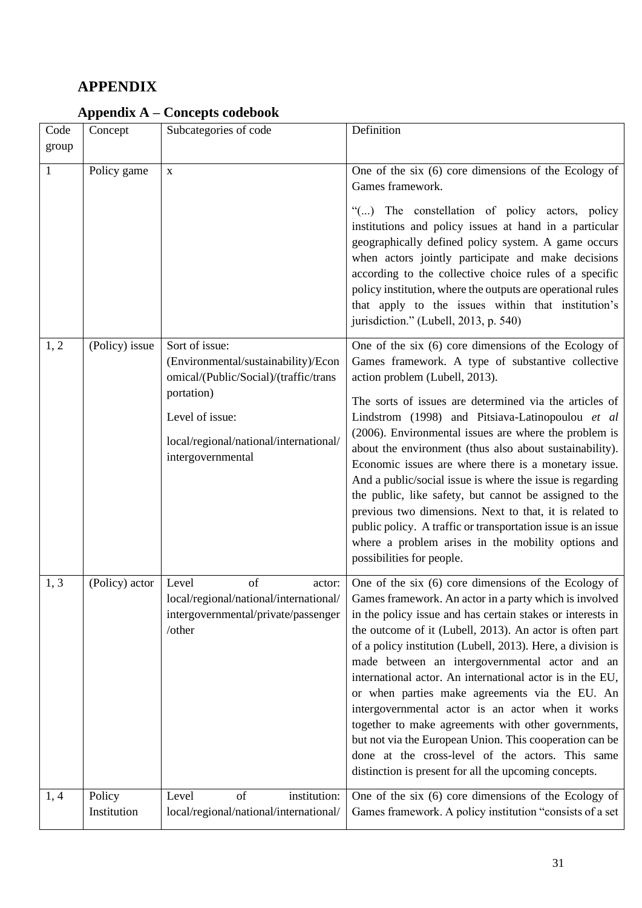## <span id="page-33-0"></span>**APPENDIX**

| Code<br>group | Concept               | Subcategories of code                                                                                                                                                                          | Definition                                                                                                                                                                                                                                                                                                                                                                                                                                                                                                                                                                                                                                                                                                                                                                                          |
|---------------|-----------------------|------------------------------------------------------------------------------------------------------------------------------------------------------------------------------------------------|-----------------------------------------------------------------------------------------------------------------------------------------------------------------------------------------------------------------------------------------------------------------------------------------------------------------------------------------------------------------------------------------------------------------------------------------------------------------------------------------------------------------------------------------------------------------------------------------------------------------------------------------------------------------------------------------------------------------------------------------------------------------------------------------------------|
| $\mathbf{1}$  | Policy game           | $\mathbf X$                                                                                                                                                                                    | One of the six $(6)$ core dimensions of the Ecology of<br>Games framework.<br>"() The constellation of policy actors, policy<br>institutions and policy issues at hand in a particular<br>geographically defined policy system. A game occurs<br>when actors jointly participate and make decisions<br>according to the collective choice rules of a specific<br>policy institution, where the outputs are operational rules<br>that apply to the issues within that institution's<br>jurisdiction." (Lubell, 2013, p. 540)                                                                                                                                                                                                                                                                         |
| 1, 2          | (Policy) issue        | Sort of issue:<br>(Environmental/sustainability)/Econ<br>omical/(Public/Social)/(traffic/trans<br>portation)<br>Level of issue:<br>local/regional/national/international/<br>intergovernmental | One of the six $(6)$ core dimensions of the Ecology of<br>Games framework. A type of substantive collective<br>action problem (Lubell, 2013).<br>The sorts of issues are determined via the articles of<br>Lindstrom (1998) and Pitsiava-Latinopoulou et al<br>(2006). Environmental issues are where the problem is<br>about the environment (thus also about sustainability).<br>Economic issues are where there is a monetary issue.<br>And a public/social issue is where the issue is regarding<br>the public, like safety, but cannot be assigned to the<br>previous two dimensions. Next to that, it is related to<br>public policy. A traffic or transportation issue is an issue<br>where a problem arises in the mobility options and<br>possibilities for people.                        |
| 1, 3          | (Policy) actor        | of<br>Level<br>actor:<br>intergovernmental/private/passenger<br>/other                                                                                                                         | One of the six (6) core dimensions of the Ecology of<br>local/regional/national/international/ Games framework. An actor in a party which is involved<br>in the policy issue and has certain stakes or interests in<br>the outcome of it (Lubell, 2013). An actor is often part<br>of a policy institution (Lubell, 2013). Here, a division is<br>made between an intergovernmental actor and an<br>international actor. An international actor is in the EU,<br>or when parties make agreements via the EU. An<br>intergovernmental actor is an actor when it works<br>together to make agreements with other governments,<br>but not via the European Union. This cooperation can be<br>done at the cross-level of the actors. This same<br>distinction is present for all the upcoming concepts. |
| 1, 4          | Policy<br>Institution | of<br>institution:<br>Level<br>local/regional/national/international/                                                                                                                          | One of the six (6) core dimensions of the Ecology of<br>Games framework. A policy institution "consists of a set                                                                                                                                                                                                                                                                                                                                                                                                                                                                                                                                                                                                                                                                                    |
|               |                       |                                                                                                                                                                                                |                                                                                                                                                                                                                                                                                                                                                                                                                                                                                                                                                                                                                                                                                                                                                                                                     |

## <span id="page-33-1"></span>**Appendix A – Concepts codebook**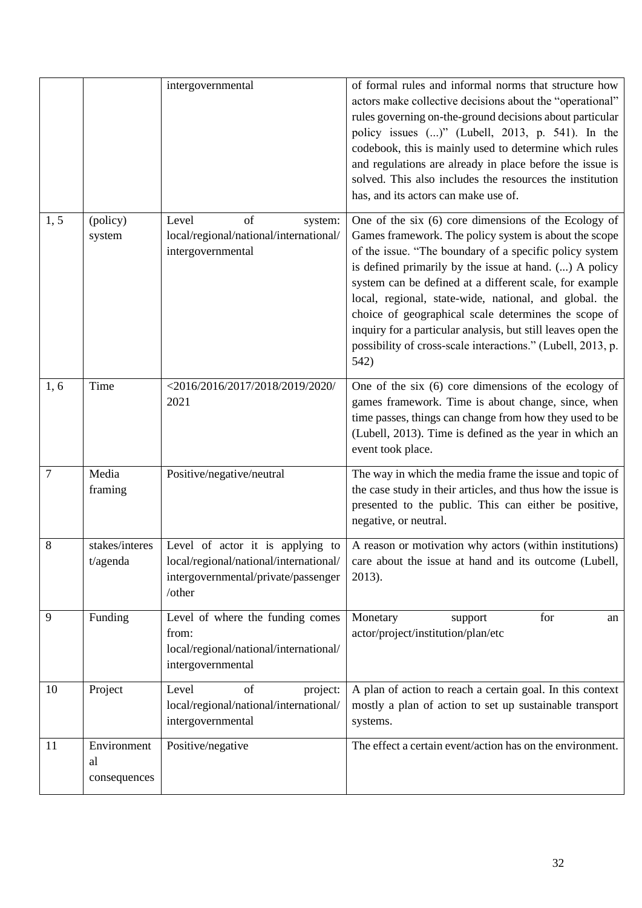|        |                                   | intergovernmental                                                                                                           | of formal rules and informal norms that structure how<br>actors make collective decisions about the "operational"<br>rules governing on-the-ground decisions about particular<br>policy issues ()" (Lubell, 2013, p. 541). In the<br>codebook, this is mainly used to determine which rules<br>and regulations are already in place before the issue is<br>solved. This also includes the resources the institution<br>has, and its actors can make use of.                                                                                            |
|--------|-----------------------------------|-----------------------------------------------------------------------------------------------------------------------------|--------------------------------------------------------------------------------------------------------------------------------------------------------------------------------------------------------------------------------------------------------------------------------------------------------------------------------------------------------------------------------------------------------------------------------------------------------------------------------------------------------------------------------------------------------|
| 1, 5   | (policy)<br>system                | of<br>Level<br>system:<br>local/regional/national/international/<br>intergovernmental                                       | One of the six (6) core dimensions of the Ecology of<br>Games framework. The policy system is about the scope<br>of the issue. "The boundary of a specific policy system<br>is defined primarily by the issue at hand. () A policy<br>system can be defined at a different scale, for example<br>local, regional, state-wide, national, and global. the<br>choice of geographical scale determines the scope of<br>inquiry for a particular analysis, but still leaves open the<br>possibility of cross-scale interactions." (Lubell, 2013, p.<br>542) |
| 1, 6   | Time                              | <2016/2016/2017/2018/2019/2020/<br>2021                                                                                     | One of the six $(6)$ core dimensions of the ecology of<br>games framework. Time is about change, since, when<br>time passes, things can change from how they used to be<br>(Lubell, 2013). Time is defined as the year in which an<br>event took place.                                                                                                                                                                                                                                                                                                |
| $\tau$ | Media<br>framing                  | Positive/negative/neutral                                                                                                   | The way in which the media frame the issue and topic of<br>the case study in their articles, and thus how the issue is<br>presented to the public. This can either be positive,<br>negative, or neutral.                                                                                                                                                                                                                                                                                                                                               |
| 8      | stakes/interes<br>t/agenda        | Level of actor it is applying to<br>local/regional/national/international/<br>intergovernmental/private/passenger<br>/other | A reason or motivation why actors (within institutions)<br>care about the issue at hand and its outcome (Lubell,<br>2013).                                                                                                                                                                                                                                                                                                                                                                                                                             |
| 9      | Funding                           | Level of where the funding comes<br>from:<br>local/regional/national/international/<br>intergovernmental                    | Monetary<br>for<br>support<br>an<br>actor/project/institution/plan/etc                                                                                                                                                                                                                                                                                                                                                                                                                                                                                 |
| 10     | Project                           | Level<br>of<br>project:<br>local/regional/national/international/<br>intergovernmental                                      | A plan of action to reach a certain goal. In this context<br>mostly a plan of action to set up sustainable transport<br>systems.                                                                                                                                                                                                                                                                                                                                                                                                                       |
| 11     | Environment<br>al<br>consequences | Positive/negative                                                                                                           | The effect a certain event/action has on the environment.                                                                                                                                                                                                                                                                                                                                                                                                                                                                                              |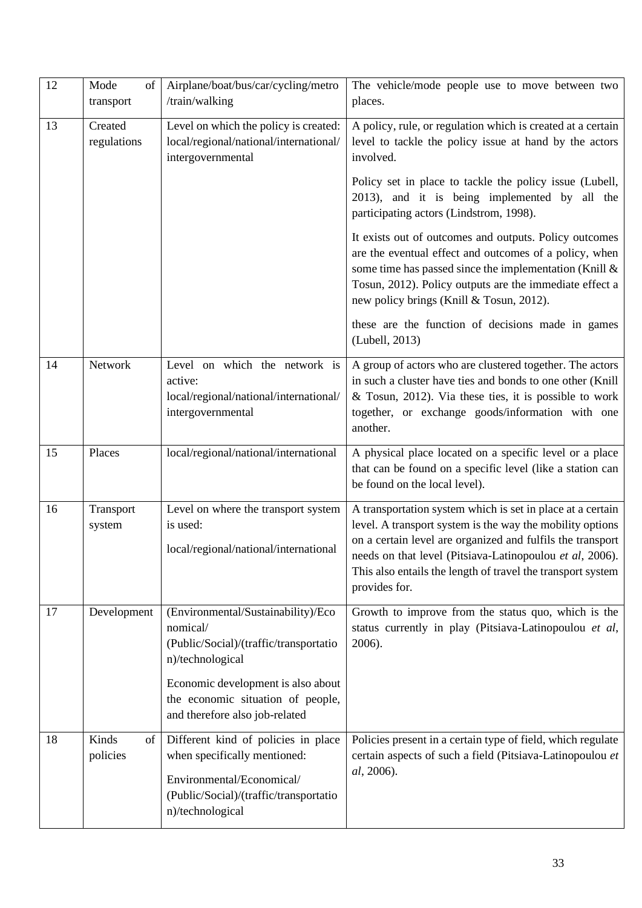| 12 | Mode<br>of<br>transport                                                                                                        | Airplane/boat/bus/car/cycling/metro<br>/train/walking                                                                                                          | The vehicle/mode people use to move between two<br>places.                                                                                                                                                                                                                                                                        |  |  |
|----|--------------------------------------------------------------------------------------------------------------------------------|----------------------------------------------------------------------------------------------------------------------------------------------------------------|-----------------------------------------------------------------------------------------------------------------------------------------------------------------------------------------------------------------------------------------------------------------------------------------------------------------------------------|--|--|
| 13 | Created<br>Level on which the policy is created:<br>regulations<br>local/regional/national/international/<br>intergovernmental |                                                                                                                                                                | A policy, rule, or regulation which is created at a certain<br>level to tackle the policy issue at hand by the actors<br>involved.                                                                                                                                                                                                |  |  |
|    |                                                                                                                                |                                                                                                                                                                | Policy set in place to tackle the policy issue (Lubell,<br>2013), and it is being implemented by all the<br>participating actors (Lindstrom, 1998).                                                                                                                                                                               |  |  |
|    |                                                                                                                                |                                                                                                                                                                | It exists out of outcomes and outputs. Policy outcomes<br>are the eventual effect and outcomes of a policy, when<br>some time has passed since the implementation (Knill &<br>Tosun, 2012). Policy outputs are the immediate effect a<br>new policy brings (Knill & Tosun, 2012).                                                 |  |  |
|    |                                                                                                                                |                                                                                                                                                                | these are the function of decisions made in games<br>(Lubell, 2013)                                                                                                                                                                                                                                                               |  |  |
| 14 | Network                                                                                                                        | Level on which the network is<br>active:<br>local/regional/national/international/<br>intergovernmental                                                        | A group of actors who are clustered together. The actors<br>in such a cluster have ties and bonds to one other (Knill<br>& Tosun, 2012). Via these ties, it is possible to work<br>together, or exchange goods/information with one<br>another.                                                                                   |  |  |
| 15 | Places                                                                                                                         | local/regional/national/international                                                                                                                          | A physical place located on a specific level or a place<br>that can be found on a specific level (like a station can<br>be found on the local level).                                                                                                                                                                             |  |  |
| 16 | Transport<br>system                                                                                                            | Level on where the transport system<br>is used:<br>local/regional/national/international                                                                       | A transportation system which is set in place at a certain<br>level. A transport system is the way the mobility options<br>on a certain level are organized and fulfils the transport<br>needs on that level (Pitsiava-Latinopoulou et al, 2006).<br>This also entails the length of travel the transport system<br>provides for. |  |  |
| 17 | Development                                                                                                                    | (Environmental/Sustainability)/Eco<br>nomical/<br>(Public/Social)/(traffic/transportatio<br>n)/technological                                                   | Growth to improve from the status quo, which is the<br>status currently in play (Pitsiava-Latinopoulou et al,<br>2006).                                                                                                                                                                                                           |  |  |
|    |                                                                                                                                | Economic development is also about<br>the economic situation of people,<br>and therefore also job-related                                                      |                                                                                                                                                                                                                                                                                                                                   |  |  |
| 18 | Kinds<br>of<br>policies                                                                                                        | Different kind of policies in place<br>when specifically mentioned:<br>Environmental/Economical/<br>(Public/Social)/(traffic/transportatio<br>n)/technological | Policies present in a certain type of field, which regulate<br>certain aspects of such a field (Pitsiava-Latinopoulou et<br>al, 2006).                                                                                                                                                                                            |  |  |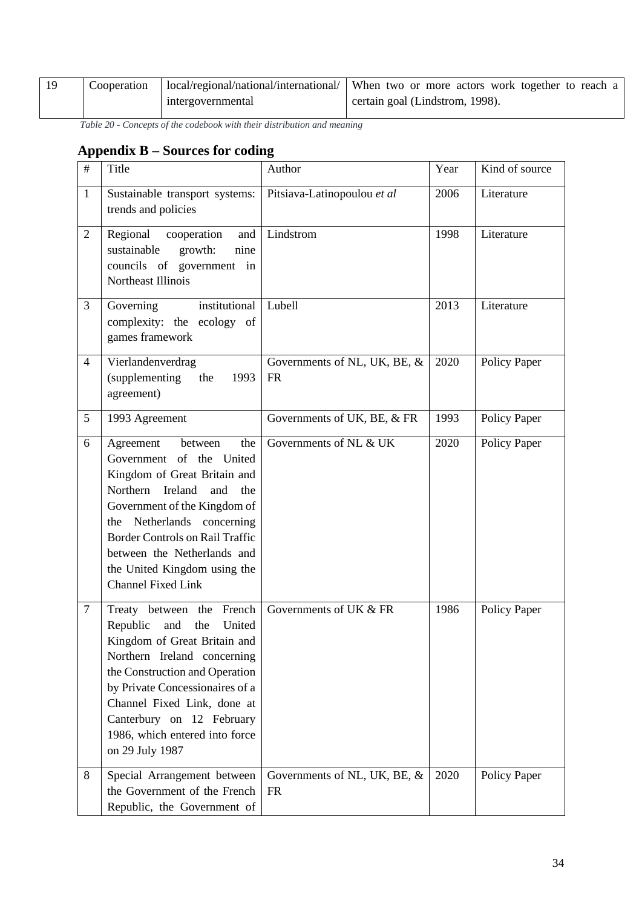| Cooperation |                   | local/regional/national/international/   When two or more actors work together to reach a |
|-------------|-------------------|-------------------------------------------------------------------------------------------|
|             | intergovernmental | certain goal (Lindstrom, 1998).                                                           |

*Table 20 - Concepts of the codebook with their distribution and meaning*

## <span id="page-36-0"></span>**Appendix B – Sources for coding**

| $\#$           | Title                                                                                                                                                                                                                                                                                                                         | Author                                    | Year | Kind of source |
|----------------|-------------------------------------------------------------------------------------------------------------------------------------------------------------------------------------------------------------------------------------------------------------------------------------------------------------------------------|-------------------------------------------|------|----------------|
| $\mathbf{1}$   | Sustainable transport systems:<br>trends and policies                                                                                                                                                                                                                                                                         | Pitsiava-Latinopoulou et al               | 2006 | Literature     |
| $\overline{2}$ | Regional<br>cooperation<br>and<br>sustainable<br>growth:<br>nine<br>councils of government in<br>Northeast Illinois                                                                                                                                                                                                           | Lindstrom                                 | 1998 | Literature     |
| 3              | institutional<br>Governing<br>complexity: the ecology of<br>games framework                                                                                                                                                                                                                                                   | Lubell                                    | 2013 | Literature     |
| $\overline{4}$ | Vierlandenverdrag<br>(supplementing<br>the<br>1993<br>agreement)                                                                                                                                                                                                                                                              | Governments of NL, UK, BE, &<br><b>FR</b> | 2020 | Policy Paper   |
| 5              | 1993 Agreement                                                                                                                                                                                                                                                                                                                | Governments of UK, BE, & FR               | 1993 | Policy Paper   |
| 6              | Agreement<br>between<br>the<br>Government of the United<br>Kingdom of Great Britain and<br>Northern Ireland<br>and<br>the<br>Government of the Kingdom of<br>the Netherlands concerning<br><b>Border Controls on Rail Traffic</b><br>between the Netherlands and<br>the United Kingdom using the<br><b>Channel Fixed Link</b> | Governments of NL & UK                    | 2020 | Policy Paper   |
| $\tau$         | French<br>Treaty between<br>the<br>Republic<br>United<br>and<br>the<br>Kingdom of Great Britain and<br>Northern Ireland concerning<br>the Construction and Operation<br>by Private Concessionaires of a<br>Channel Fixed Link, done at<br>Canterbury on 12 February<br>1986, which entered into force<br>on 29 July 1987      | Governments of UK & FR                    | 1986 | Policy Paper   |
| 8              | Special Arrangement between<br>the Government of the French<br>Republic, the Government of                                                                                                                                                                                                                                    | Governments of NL, UK, BE, &<br><b>FR</b> | 2020 | Policy Paper   |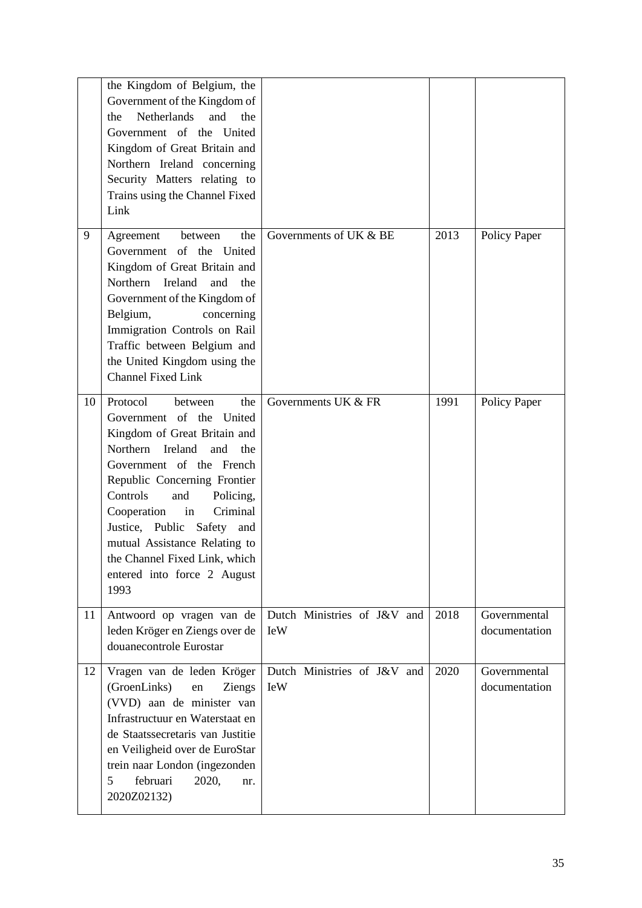|    | the Kingdom of Belgium, the<br>Government of the Kingdom of<br>Netherlands<br>and<br>the<br>the<br>Government of the United<br>Kingdom of Great Britain and<br>Northern Ireland concerning<br>Security Matters relating to<br>Trains using the Channel Fixed<br>Link                                                                                                                            |                                           |      |                               |
|----|-------------------------------------------------------------------------------------------------------------------------------------------------------------------------------------------------------------------------------------------------------------------------------------------------------------------------------------------------------------------------------------------------|-------------------------------------------|------|-------------------------------|
| 9  | Agreement<br>the<br>between<br>Government of the United<br>Kingdom of Great Britain and<br>Ireland<br>Northern<br>and<br>the<br>Government of the Kingdom of<br>Belgium,<br>concerning<br>Immigration Controls on Rail<br>Traffic between Belgium and<br>the United Kingdom using the<br><b>Channel Fixed Link</b>                                                                              | Governments of UK & BE                    | 2013 | Policy Paper                  |
| 10 | Protocol<br>between<br>the<br>Government of the United<br>Kingdom of Great Britain and<br>Northern<br>Ireland<br>and<br>the<br>Government of the French<br>Republic Concerning Frontier<br>Controls<br>and<br>Policing,<br>Criminal<br>Cooperation<br>in<br>Justice, Public Safety and<br>mutual Assistance Relating to<br>the Channel Fixed Link, which<br>entered into force 2 August<br>1993 | Governments UK & FR                       | 1991 | Policy Paper                  |
| 11 | Antwoord op vragen van de<br>leden Kröger en Ziengs over de<br>douanecontrole Eurostar                                                                                                                                                                                                                                                                                                          | Dutch Ministries of J&V and<br><b>IeW</b> | 2018 | Governmental<br>documentation |
| 12 | Vragen van de leden Kröger<br>(GroenLinks)<br>en<br>Ziengs<br>(VVD) aan de minister van<br>Infrastructuur en Waterstaat en<br>de Staatssecretaris van Justitie<br>en Veiligheid over de EuroStar<br>trein naar London (ingezonden<br>5<br>februari<br>2020,<br>nr.<br>2020Z02132)                                                                                                               | Dutch Ministries of J&V and<br><b>IeW</b> | 2020 | Governmental<br>documentation |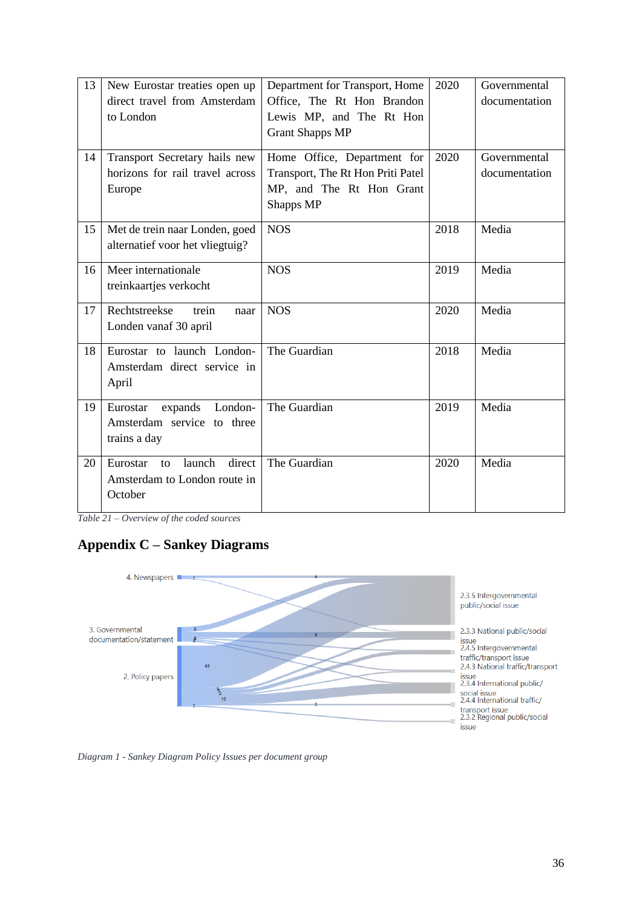| 13 | New Eurostar treaties open up<br>direct travel from Amsterdam<br>to London    | Department for Transport, Home<br>Office, The Rt Hon Brandon<br>Lewis MP, and The Rt Hon<br><b>Grant Shapps MP</b> | 2020 | Governmental<br>documentation |
|----|-------------------------------------------------------------------------------|--------------------------------------------------------------------------------------------------------------------|------|-------------------------------|
| 14 | Transport Secretary hails new<br>horizons for rail travel across<br>Europe    | Home Office, Department for<br>Transport, The Rt Hon Priti Patel<br>MP, and The Rt Hon Grant<br>Shapps MP          | 2020 | Governmental<br>documentation |
| 15 | Met de trein naar Londen, goed<br>alternatief voor het vliegtuig?             | <b>NOS</b>                                                                                                         | 2018 | Media                         |
| 16 | Meer internationale<br>treinkaartjes verkocht                                 | <b>NOS</b>                                                                                                         | 2019 | Media                         |
| 17 | Rechtstreekse<br>trein<br>naar<br>Londen vanaf 30 april                       | <b>NOS</b>                                                                                                         | 2020 | Media                         |
| 18 | Eurostar to launch London-<br>Amsterdam direct service in<br>April            | The Guardian                                                                                                       | 2018 | Media                         |
| 19 | London-<br>Eurostar<br>expands<br>Amsterdam service to three<br>trains a day  | The Guardian                                                                                                       | 2019 | Media                         |
| 20 | launch<br>direct<br>Eurostar<br>to<br>Amsterdam to London route in<br>October | The Guardian                                                                                                       | 2020 | Media                         |

*Table 21 – Overview of the coded sources*

## <span id="page-38-0"></span>**Appendix C – Sankey Diagrams**



*Diagram 1 - Sankey Diagram Policy Issues per document group*